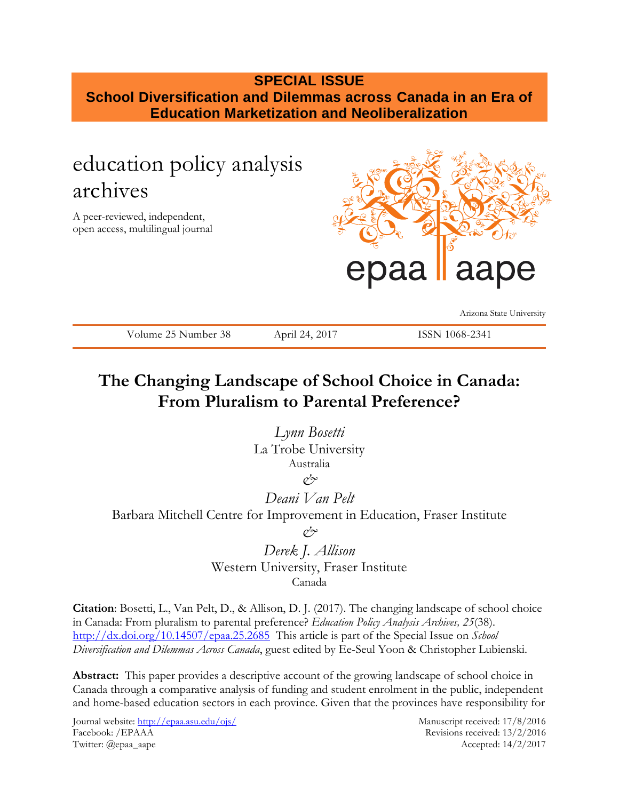## **SPECIAL ISSUE School Diversification and Dilemmas across Canada in an Era of**

**Education Marketization and Neoliberalization**

# education policy analysis archives

A peer-reviewed, independent, open access, multilingual journal



Arizona State University

Volume 25 Number 38 April 24, 2017 ISSN 1068-2341

## **The Changing Landscape of School Choice in Canada: From Pluralism to Parental Preference?**

*Lynn Bosetti* La Trobe University Australia

*&*

*Deani Van Pelt*  Barbara Mitchell Centre for Improvement in Education, Fraser Institute *&*

> *Derek J. Allison* Western University, Fraser Institute Canada

**Citation**: Bosetti, L., Van Pelt, D., & Allison, D. J. (2017). The changing landscape of school choice in Canada: From pluralism to parental preference? *Education Policy Analysis Archives, 25*(38). <http://dx.doi.org/10.14507/epaa.25.2685>This article is part of the Special Issue on *School Diversification and Dilemmas Across Canada*, guest edited by Ee-Seul Yoon & Christopher Lubienski.

**Abstract:** This paper provides a descriptive account of the growing landscape of school choice in Canada through a comparative analysis of funding and student enrolment in the public, independent and home-based education sectors in each province. Given that the provinces have responsibility for

Journal website:<http://epaa.asu.edu/ojs/> Manuscript received: 17/8/2016 Facebook: /EPAAA Revisions received: 13/2/2016 Twitter: @epaa\_aape Accepted: 14/2/2017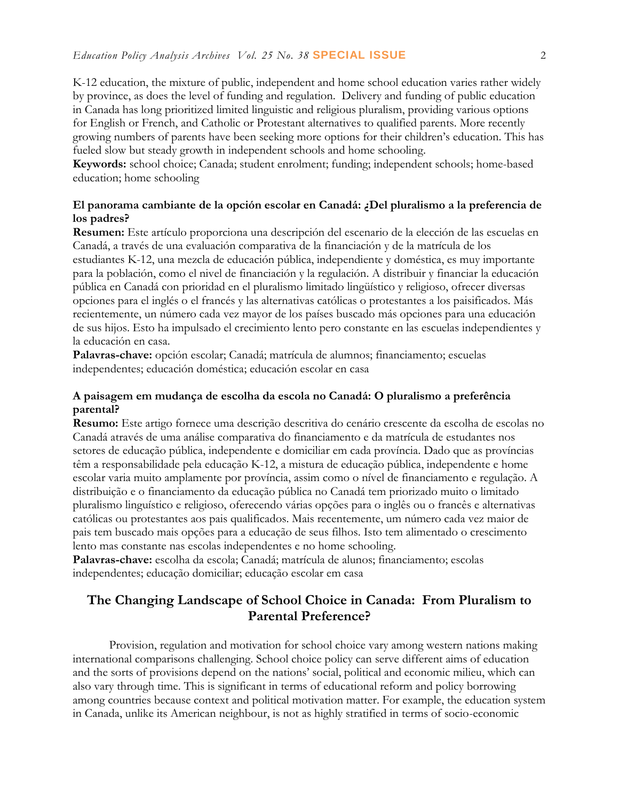K-12 education, the mixture of public, independent and home school education varies rather widely by province, as does the level of funding and regulation. Delivery and funding of public education in Canada has long prioritized limited linguistic and religious pluralism, providing various options for English or French, and Catholic or Protestant alternatives to qualified parents. More recently growing numbers of parents have been seeking more options for their children's education. This has fueled slow but steady growth in independent schools and home schooling.

**Keywords:** school choice; Canada; student enrolment; funding; independent schools; home-based education; home schooling

## **El panorama cambiante de la opción escolar en Canadá: ¿Del pluralismo a la preferencia de los padres?**

**Resumen:** Este artículo proporciona una descripción del escenario de la elección de las escuelas en Canadá, a través de una evaluación comparativa de la financiación y de la matrícula de los estudiantes K-12, una mezcla de educación pública, independiente y doméstica, es muy importante para la población, como el nivel de financiación y la regulación. A distribuir y financiar la educación pública en Canadá con prioridad en el pluralismo limitado lingüístico y religioso, ofrecer diversas opciones para el inglés o el francés y las alternativas católicas o protestantes a los paisificados. Más recientemente, un número cada vez mayor de los países buscado más opciones para una educación de sus hijos. Esto ha impulsado el crecimiento lento pero constante en las escuelas independientes y la educación en casa.

**Palavras-chave:** opción escolar; Canadá; matrícula de alumnos; financiamento; escuelas independentes; educación doméstica; educación escolar en casa

## **A paisagem em mudança de escolha da escola no Canadá: O pluralismo a preferência parental?**

**Resumo:** Este artigo fornece uma descrição descritiva do cenário crescente da escolha de escolas no Canadá através de uma análise comparativa do financiamento e da matrícula de estudantes nos setores de educação pública, independente e domiciliar em cada província. Dado que as províncias têm a responsabilidade pela educação K-12, a mistura de educação pública, independente e home escolar varia muito amplamente por província, assim como o nível de financiamento e regulação. A distribuição e o financiamento da educação pública no Canadá tem priorizado muito o limitado pluralismo linguístico e religioso, oferecendo várias opções para o inglês ou o francês e alternativas católicas ou protestantes aos pais qualificados. Mais recentemente, um número cada vez maior de pais tem buscado mais opções para a educação de seus filhos. Isto tem alimentado o crescimento lento mas constante nas escolas independentes e no home schooling.

**Palavras-chave:** escolha da escola; Canadá; matrícula de alunos; financiamento; escolas independentes; educação domiciliar; educação escolar em casa

## **The Changing Landscape of School Choice in Canada: From Pluralism to Parental Preference?**

Provision, regulation and motivation for school choice vary among western nations making international comparisons challenging. School choice policy can serve different aims of education and the sorts of provisions depend on the nations' social, political and economic milieu, which can also vary through time. This is significant in terms of educational reform and policy borrowing among countries because context and political motivation matter. For example, the education system in Canada, unlike its American neighbour, is not as highly stratified in terms of socio-economic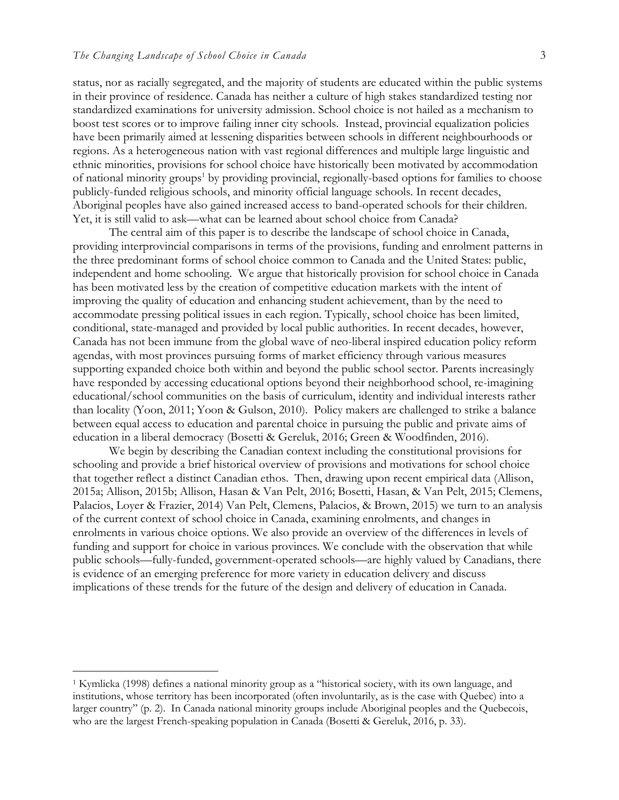status, nor as racially segregated, and the majority of students are educated within the public systems in their province of residence. Canada has neither a culture of high stakes standardized testing nor standardized examinations for university admission. School choice is not hailed as a mechanism to boost test scores or to improve failing inner city schools. Instead, provincial equalization policies have been primarily aimed at lessening disparities between schools in different neighbourhoods or regions. As a heterogeneous nation with vast regional differences and multiple large linguistic and ethnic minorities, provisions for school choice have historically been motivated by accommodation of national minority groups<sup>1</sup> by providing provincial, regionally-based options for families to choose publicly-funded religious schools, and minority official language schools. In recent decades, Aboriginal peoples have also gained increased access to band-operated schools for their children. Yet, it is still valid to ask—what can be learned about school choice from Canada?

The central aim of this paper is to describe the landscape of school choice in Canada, providing interprovincial comparisons in terms of the provisions, funding and enrolment patterns in the three predominant forms of school choice common to Canada and the United States: public, independent and home schooling. We argue that historically provision for school choice in Canada has been motivated less by the creation of competitive education markets with the intent of improving the quality of education and enhancing student achievement, than by the need to accommodate pressing political issues in each region. Typically, school choice has been limited, conditional, state-managed and provided by local public authorities. In recent decades, however, Canada has not been immune from the global wave of neo-liberal inspired education policy reform agendas, with most provinces pursuing forms of market efficiency through various measures supporting expanded choice both within and beyond the public school sector. Parents increasingly have responded by accessing educational options beyond their neighborhood school, re-imagining educational/school communities on the basis of curriculum, identity and individual interests rather than locality (Yoon, 2011; Yoon & Gulson, 2010). Policy makers are challenged to strike a balance between equal access to education and parental choice in pursuing the public and private aims of education in a liberal democracy (Bosetti & Gereluk, 2016; Green & Woodfinden, 2016).

We begin by describing the Canadian context including the constitutional provisions for schooling and provide a brief historical overview of provisions and motivations for school choice that together reflect a distinct Canadian ethos. Then, drawing upon recent empirical data (Allison, 2015a; Allison, 2015b; Allison, Hasan & Van Pelt, 2016; Bosetti, Hasan, & Van Pelt, 2015; Clemens, Palacios, Loyer & Frazier, 2014) Van Pelt, Clemens, Palacios, & Brown, 2015) we turn to an analysis of the current context of school choice in Canada, examining enrolments, and changes in enrolments in various choice options. We also provide an overview of the differences in levels of funding and support for choice in various provinces. We conclude with the observation that while public schools—fully-funded, government-operated schools—are highly valued by Canadians, there is evidence of an emerging preference for more variety in education delivery and discuss implications of these trends for the future of the design and delivery of education in Canada.

<sup>1</sup> Kymlicka (1998) defines a national minority group as a "historical society, with its own language, and institutions, whose territory has been incorporated (often involuntarily, as is the case with Quebec) into a larger country" (p. 2). In Canada national minority groups include Aboriginal peoples and the Quebecois, who are the largest French-speaking population in Canada (Bosetti & Gereluk, 2016, p. 33).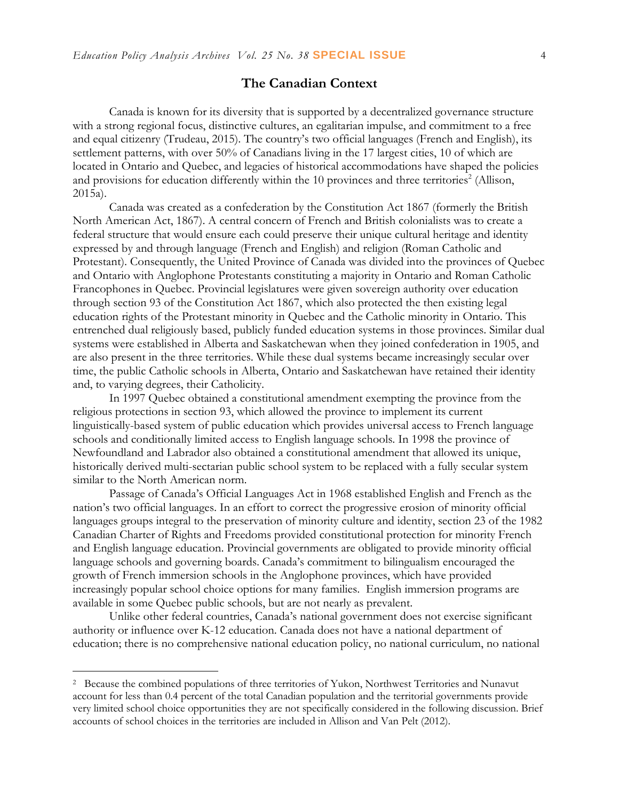## **The Canadian Context**

Canada is known for its diversity that is supported by a decentralized governance structure with a strong regional focus, distinctive cultures, an egalitarian impulse, and commitment to a free and equal citizenry (Trudeau, 2015). The country's two official languages (French and English), its settlement patterns, with over 50% of Canadians living in the 17 largest cities, 10 of which are located in Ontario and Quebec, and legacies of historical accommodations have shaped the policies and provisions for education differently within the 10 provinces and three territories<sup>2</sup> (Allison, 2015a).

Canada was created as a confederation by the Constitution Act 1867 (formerly the British North American Act, 1867). A central concern of French and British colonialists was to create a federal structure that would ensure each could preserve their unique cultural heritage and identity expressed by and through language (French and English) and religion (Roman Catholic and Protestant). Consequently, the United Province of Canada was divided into the provinces of Quebec and Ontario with Anglophone Protestants constituting a majority in Ontario and Roman Catholic Francophones in Quebec. Provincial legislatures were given sovereign authority over education through section 93 of the Constitution Act 1867, which also protected the then existing legal education rights of the Protestant minority in Quebec and the Catholic minority in Ontario. This entrenched dual religiously based, publicly funded education systems in those provinces. Similar dual systems were established in Alberta and Saskatchewan when they joined confederation in 1905, and are also present in the three territories. While these dual systems became increasingly secular over time, the public Catholic schools in Alberta, Ontario and Saskatchewan have retained their identity and, to varying degrees, their Catholicity.

In 1997 Quebec obtained a constitutional amendment exempting the province from the religious protections in section 93, which allowed the province to implement its current linguistically-based system of public education which provides universal access to French language schools and conditionally limited access to English language schools. In 1998 the province of Newfoundland and Labrador also obtained a constitutional amendment that allowed its unique, historically derived multi-sectarian public school system to be replaced with a fully secular system similar to the North American norm.

Passage of Canada's Official Languages Act in 1968 established English and French as the nation's two official languages. In an effort to correct the progressive erosion of minority official languages groups integral to the preservation of minority culture and identity, section 23 of the 1982 Canadian Charter of Rights and Freedoms provided constitutional protection for minority French and English language education. Provincial governments are obligated to provide minority official language schools and governing boards. Canada's commitment to bilingualism encouraged the growth of French immersion schools in the Anglophone provinces, which have provided increasingly popular school choice options for many families. English immersion programs are available in some Quebec public schools, but are not nearly as prevalent.

Unlike other federal countries, Canada's national government does not exercise significant authority or influence over K-12 education. Canada does not have a national department of education; there is no comprehensive national education policy, no national curriculum, no national

<sup>&</sup>lt;sup>2</sup> Because the combined populations of three territories of Yukon, Northwest Territories and Nunavut account for less than 0.4 percent of the total Canadian population and the territorial governments provide very limited school choice opportunities they are not specifically considered in the following discussion. Brief accounts of school choices in the territories are included in Allison and Van Pelt (2012).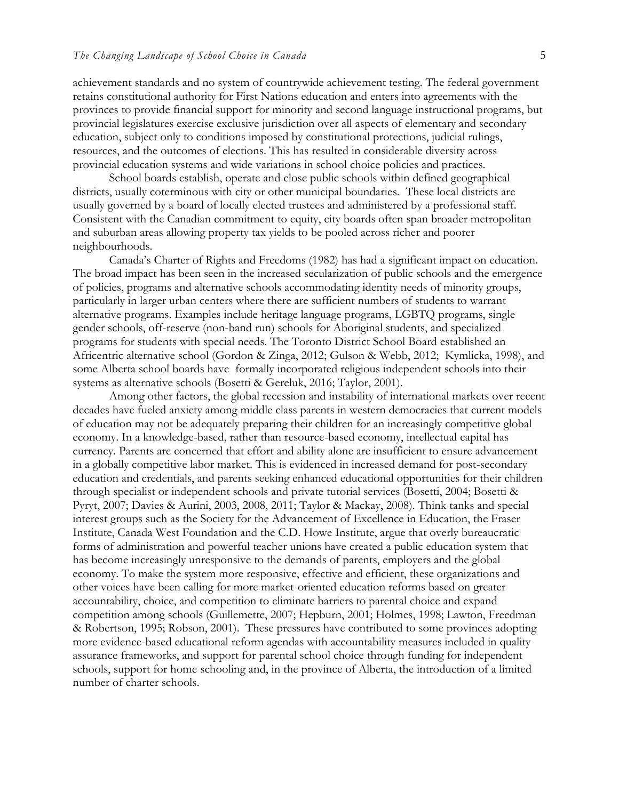achievement standards and no system of countrywide achievement testing. The federal government retains constitutional authority for First Nations education and enters into agreements with the provinces to provide financial support for minority and second language instructional programs, but provincial legislatures exercise exclusive jurisdiction over all aspects of elementary and secondary education, subject only to conditions imposed by constitutional protections, judicial rulings, resources, and the outcomes of elections. This has resulted in considerable diversity across provincial education systems and wide variations in school choice policies and practices.

School boards establish, operate and close public schools within defined geographical districts, usually coterminous with city or other municipal boundaries. These local districts are usually governed by a board of locally elected trustees and administered by a professional staff. Consistent with the Canadian commitment to equity, city boards often span broader metropolitan and suburban areas allowing property tax yields to be pooled across richer and poorer neighbourhoods.

Canada's Charter of Rights and Freedoms (1982) has had a significant impact on education. The broad impact has been seen in the increased secularization of public schools and the emergence of policies, programs and alternative schools accommodating identity needs of minority groups, particularly in larger urban centers where there are sufficient numbers of students to warrant alternative programs. Examples include heritage language programs, LGBTQ programs, single gender schools, off-reserve (non-band run) schools for Aboriginal students, and specialized programs for students with special needs. The Toronto District School Board established an Africentric alternative school (Gordon & Zinga, 2012; Gulson & Webb, 2012; Kymlicka, 1998), and some Alberta school boards have formally incorporated religious independent schools into their systems as alternative schools (Bosetti & Gereluk, 2016; Taylor, 2001).

Among other factors, the global recession and instability of international markets over recent decades have fueled anxiety among middle class parents in western democracies that current models of education may not be adequately preparing their children for an increasingly competitive global economy. In a knowledge-based, rather than resource-based economy, intellectual capital has currency. Parents are concerned that effort and ability alone are insufficient to ensure advancement in a globally competitive labor market. This is evidenced in increased demand for post-secondary education and credentials, and parents seeking enhanced educational opportunities for their children through specialist or independent schools and private tutorial services (Bosetti, 2004; Bosetti & Pyryt, 2007; Davies & Aurini, 2003, 2008, 2011; Taylor & Mackay, 2008). Think tanks and special interest groups such as the Society for the Advancement of Excellence in Education, the Fraser Institute, Canada West Foundation and the C.D. Howe Institute, argue that overly bureaucratic forms of administration and powerful teacher unions have created a public education system that has become increasingly unresponsive to the demands of parents, employers and the global economy. To make the system more responsive, effective and efficient, these organizations and other voices have been calling for more market-oriented education reforms based on greater accountability, choice, and competition to eliminate barriers to parental choice and expand competition among schools (Guillemette, 2007; Hepburn, 2001; Holmes, 1998; Lawton, Freedman & Robertson, 1995; Robson, 2001). These pressures have contributed to some provinces adopting more evidence-based educational reform agendas with accountability measures included in quality assurance frameworks, and support for parental school choice through funding for independent schools, support for home schooling and, in the province of Alberta, the introduction of a limited number of charter schools.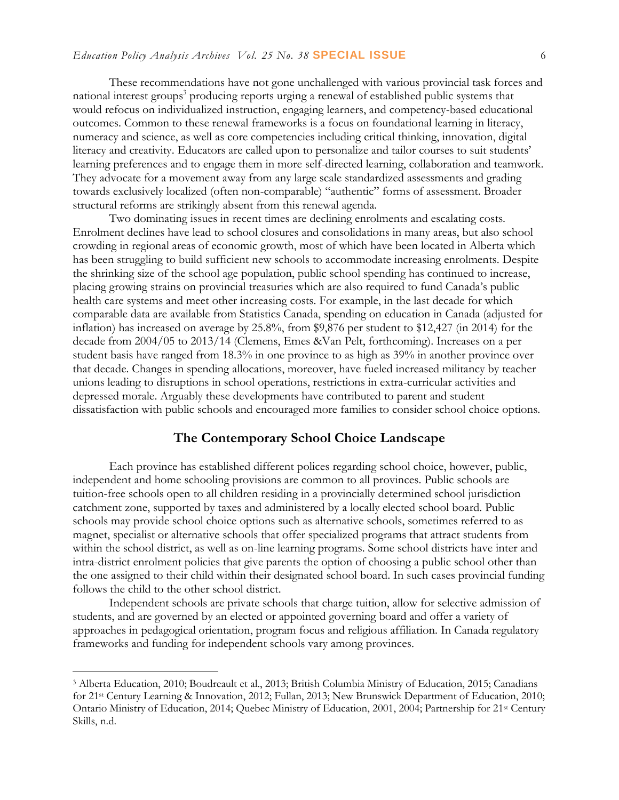These recommendations have not gone unchallenged with various provincial task forces and national interest groups<sup>3</sup> producing reports urging a renewal of established public systems that would refocus on individualized instruction, engaging learners, and competency-based educational outcomes. Common to these renewal frameworks is a focus on foundational learning in literacy, numeracy and science, as well as core competencies including critical thinking, innovation, digital literacy and creativity. Educators are called upon to personalize and tailor courses to suit students' learning preferences and to engage them in more self-directed learning, collaboration and teamwork. They advocate for a movement away from any large scale standardized assessments and grading towards exclusively localized (often non-comparable) "authentic" forms of assessment. Broader structural reforms are strikingly absent from this renewal agenda.

Two dominating issues in recent times are declining enrolments and escalating costs. Enrolment declines have lead to school closures and consolidations in many areas, but also school crowding in regional areas of economic growth, most of which have been located in Alberta which has been struggling to build sufficient new schools to accommodate increasing enrolments. Despite the shrinking size of the school age population, public school spending has continued to increase, placing growing strains on provincial treasuries which are also required to fund Canada's public health care systems and meet other increasing costs. For example, in the last decade for which comparable data are available from Statistics Canada, spending on education in Canada (adjusted for inflation) has increased on average by 25.8%, from \$9,876 per student to \$12,427 (in 2014) for the decade from 2004/05 to 2013/14 (Clemens, Emes &Van Pelt, forthcoming). Increases on a per student basis have ranged from 18.3% in one province to as high as 39% in another province over that decade. Changes in spending allocations, moreover, have fueled increased militancy by teacher unions leading to disruptions in school operations, restrictions in extra-curricular activities and depressed morale. Arguably these developments have contributed to parent and student dissatisfaction with public schools and encouraged more families to consider school choice options.

### **The Contemporary School Choice Landscape**

Each province has established different polices regarding school choice, however, public, independent and home schooling provisions are common to all provinces. Public schools are tuition-free schools open to all children residing in a provincially determined school jurisdiction catchment zone, supported by taxes and administered by a locally elected school board. Public schools may provide school choice options such as alternative schools, sometimes referred to as magnet, specialist or alternative schools that offer specialized programs that attract students from within the school district, as well as on-line learning programs. Some school districts have inter and intra-district enrolment policies that give parents the option of choosing a public school other than the one assigned to their child within their designated school board. In such cases provincial funding follows the child to the other school district.

Independent schools are private schools that charge tuition, allow for selective admission of students, and are governed by an elected or appointed governing board and offer a variety of approaches in pedagogical orientation, program focus and religious affiliation. In Canada regulatory frameworks and funding for independent schools vary among provinces.

<sup>3</sup> Alberta Education, 2010; Boudreault et al., 2013; British Columbia Ministry of Education, 2015; Canadians for 21st Century Learning & Innovation, 2012; Fullan, 2013; New Brunswick Department of Education, 2010; Ontario Ministry of Education, 2014; Quebec Ministry of Education, 2001, 2004; Partnership for 21st Century Skills, n.d.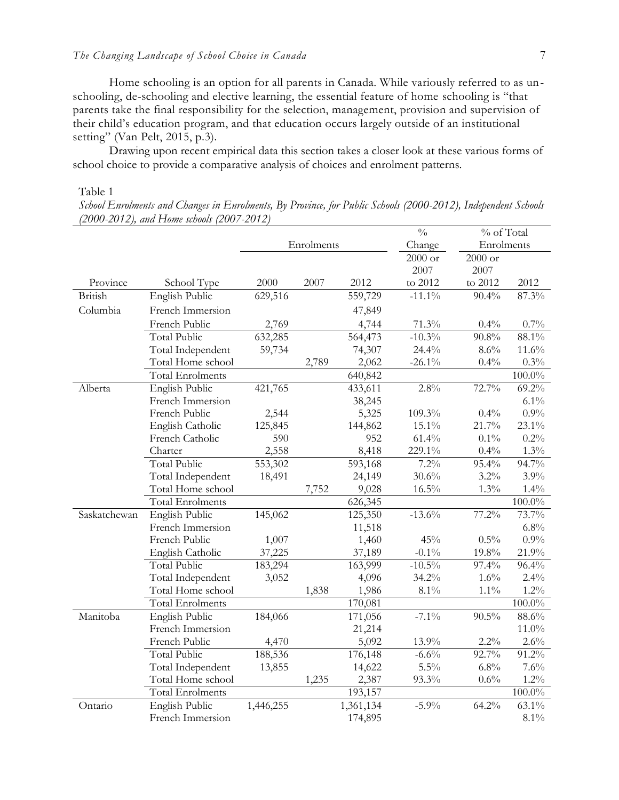Home schooling is an option for all parents in Canada. While variously referred to as unschooling, de-schooling and elective learning, the essential feature of home schooling is "that parents take the final responsibility for the selection, management, provision and supervision of their child's education program, and that education occurs largely outside of an institutional setting" (Van Pelt, 2015, p.3).

Drawing upon recent empirical data this section takes a closer look at these various forms of school choice to provide a comparative analysis of choices and enrolment patterns.

#### Table 1

*School Enrolments and Changes in Enrolments, By Province, for Public Schools (2000-2012), Independent Schools (2000-2012), and Home schools (2007-2012)*

|                |                         |            |       |           | $\frac{0}{0}$ | % of Total |           |  |
|----------------|-------------------------|------------|-------|-----------|---------------|------------|-----------|--|
|                |                         | Enrolments |       |           | Change        | Enrolments |           |  |
|                |                         |            |       | $2000$ or | $2000$ or     |            |           |  |
|                |                         |            |       |           | 2007          | 2007       |           |  |
| Province       | School Type             | 2000       | 2007  | 2012      | to 2012       | to 2012    | 2012      |  |
| <b>British</b> | English Public          | 629,516    |       | 559,729   | $-11.1\%$     | 90.4%      | 87.3%     |  |
| Columbia       | French Immersion        |            |       | 47,849    |               |            |           |  |
|                | French Public           | 2,769      |       | 4,744     | 71.3%         | 0.4%       | 0.7%      |  |
|                | <b>Total Public</b>     | 632,285    |       | 564,473   | $-10.3%$      | 90.8%      | 88.1%     |  |
|                | Total Independent       | 59,734     |       | 74,307    | 24.4%         | 8.6%       | 11.6%     |  |
|                | Total Home school       |            | 2,789 | 2,062     | $-26.1\%$     | 0.4%       | 0.3%      |  |
|                | <b>Total Enrolments</b> |            |       | 640,842   |               |            | $100.0\%$ |  |
| Alberta        | English Public          | 421,765    |       | 433,611   | 2.8%          | 72.7%      | 69.2%     |  |
|                | French Immersion        |            |       | 38,245    |               |            | 6.1%      |  |
|                | French Public           | 2,544      |       | 5,325     | 109.3%        | 0.4%       | $0.9\%$   |  |
|                | English Catholic        | 125,845    |       | 144,862   | 15.1%         | 21.7%      | 23.1%     |  |
|                | French Catholic         | 590        |       | 952       | 61.4%         | $0.1\%$    | 0.2%      |  |
|                | Charter                 | 2,558      |       | 8,418     | 229.1%        | 0.4%       | 1.3%      |  |
|                | <b>Total Public</b>     | 553,302    |       | 593,168   | 7.2%          | 95.4%      | 94.7%     |  |
|                | Total Independent       | 18,491     |       | 24,149    | 30.6%         | 3.2%       | 3.9%      |  |
|                | Total Home school       |            | 7,752 | 9,028     | 16.5%         | 1.3%       | $1.4\%$   |  |
|                | <b>Total Enrolments</b> |            |       | 626,345   |               |            | 100.0%    |  |
| Saskatchewan   | English Public          | 145,062    |       | 125,350   | $-13.6%$      | 77.2%      | 73.7%     |  |
|                | French Immersion        |            |       | 11,518    |               |            | $6.8\%$   |  |
|                | French Public           | 1,007      |       | 1,460     | 45%           | 0.5%       | $0.9\%$   |  |
|                | English Catholic        | 37,225     |       | 37,189    | $-0.1\%$      | 19.8%      | 21.9%     |  |
|                | <b>Total Public</b>     | 183,294    |       | 163,999   | $-10.5\%$     | 97.4%      | 96.4%     |  |
|                | Total Independent       | 3,052      |       | 4,096     | 34.2%         | 1.6%       | 2.4%      |  |
|                | Total Home school       |            | 1,838 | 1,986     | 8.1%          | $1.1\%$    | $1.2\%$   |  |
|                | <b>Total Enrolments</b> |            |       | 170,081   |               |            | $100.0\%$ |  |
| Manitoba       | English Public          | 184,066    |       | 171,056   | $-7.1\%$      | 90.5%      | $88.6\%$  |  |
|                | French Immersion        |            |       | 21,214    |               |            | $11.0\%$  |  |
|                | French Public           | 4,470      |       | 5,092     | 13.9%         | 2.2%       | 2.6%      |  |
|                | <b>Total Public</b>     | 188,536    |       | 176,148   | $-6.6%$       | 92.7%      | 91.2%     |  |
|                | Total Independent       | 13,855     |       | 14,622    | $5.5\%$       | 6.8%       | 7.6%      |  |
|                | Total Home school       |            | 1,235 | 2,387     | 93.3%         | 0.6%       | $1.2\%$   |  |
|                | <b>Total Enrolments</b> |            |       | 193,157   |               |            | $100.0\%$ |  |
| Ontario        | English Public          | 1,446,255  |       | 1,361,134 | $-5.9\%$      | 64.2%      | 63.1%     |  |
|                | French Immersion        |            |       | 174,895   |               |            | $8.1\%$   |  |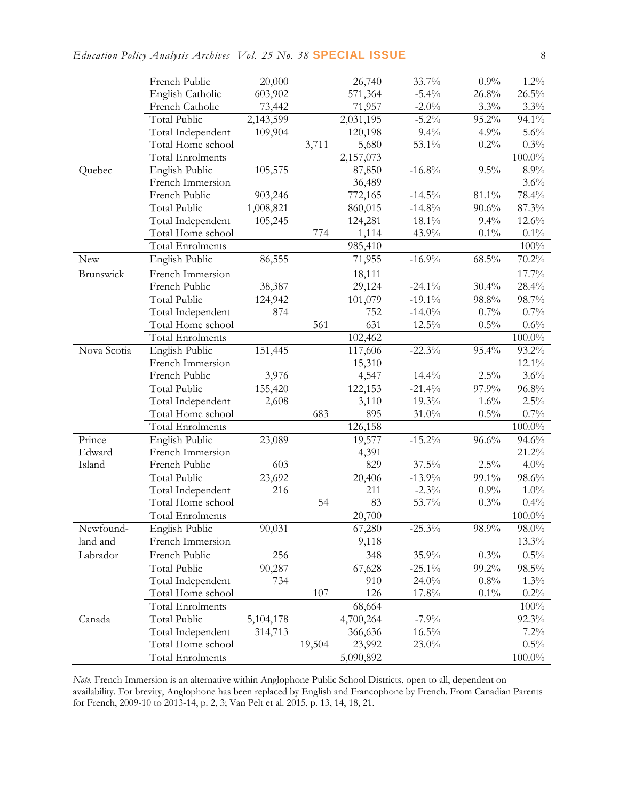|             | French Public           | 20,000    |        | 26,740    | 33.7%     | 0.9%     | $1.2\%$   |
|-------------|-------------------------|-----------|--------|-----------|-----------|----------|-----------|
|             | English Catholic        | 603,902   |        | 571,364   | $-5.4%$   | 26.8%    | 26.5%     |
|             | French Catholic         | 73,442    |        | 71,957    | $-2.0\%$  | 3.3%     | $3.3\%$   |
|             | Total Public            | 2,143,599 |        | 2,031,195 | $-5.2%$   | 95.2%    | 94.1%     |
|             | Total Independent       | 109,904   |        | 120,198   | $9.4\%$   | 4.9%     | 5.6%      |
|             | Total Home school       |           | 3,711  | 5,680     | 53.1%     | 0.2%     | 0.3%      |
|             | <b>Total Enrolments</b> |           |        | 2,157,073 |           |          | $100.0\%$ |
| Quebec      | English Public          | 105,575   |        | 87,850    | $-16.8%$  | 9.5%     | $8.9\%$   |
|             | French Immersion        |           |        | 36,489    |           |          | 3.6%      |
|             | French Public           | 903,246   |        | 772,165   | $-14.5\%$ | 81.1%    | 78.4%     |
|             | <b>Total Public</b>     | 1,008,821 |        | 860,015   | $-14.8%$  | 90.6%    | 87.3%     |
|             | Total Independent       | 105,245   |        | 124,281   | 18.1%     | 9.4%     | 12.6%     |
|             | Total Home school       |           | 774    | 1,114     | 43.9%     | $0.1\%$  | $0.1\%$   |
|             | <b>Total Enrolments</b> |           |        | 985,410   |           |          | 100%      |
| New         | English Public          | 86,555    |        | 71,955    | $-16.9%$  | $68.5\%$ | $70.2\%$  |
| Brunswick   | French Immersion        |           |        | 18,111    |           |          | 17.7%     |
|             | French Public           | 38,387    |        | 29,124    | $-24.1\%$ | 30.4%    | 28.4%     |
|             | <b>Total Public</b>     | 124,942   |        | 101,079   | $-19.1\%$ | 98.8%    | 98.7%     |
|             | Total Independent       | 874       |        | 752       | $-14.0\%$ | 0.7%     | 0.7%      |
|             | Total Home school       |           | 561    | 631       | 12.5%     | $0.5\%$  | $0.6\%$   |
|             | <b>Total Enrolments</b> |           |        | 102,462   |           |          | $100.0\%$ |
| Nova Scotia | English Public          | 151,445   |        | 117,606   | $-22.3%$  | 95.4%    | 93.2%     |
|             | French Immersion        |           |        | 15,310    |           |          | 12.1%     |
|             | French Public           | 3,976     |        | 4,547     | 14.4%     | $2.5\%$  | $3.6\%$   |
|             | <b>Total Public</b>     | 155,420   |        | 122,153   | $-21.4%$  | 97.9%    | $96.8\%$  |
|             | Total Independent       | 2,608     |        | 3,110     | 19.3%     | 1.6%     | $2.5\%$   |
|             | Total Home school       |           | 683    | 895       | 31.0%     | $0.5\%$  | 0.7%      |
|             | <b>Total Enrolments</b> |           |        | 126,158   |           |          | $100.0\%$ |
| Prince      | English Public          | 23,089    |        | 19,577    | $-15.2%$  | 96.6%    | 94.6%     |
| Edward      | French Immersion        |           |        | 4,391     |           |          | $21.2\%$  |
| Island      | French Public           | 603       |        | 829       | $37.5\%$  | 2.5%     | $4.0\%$   |
|             | <b>Total Public</b>     | 23,692    |        | 20,406    | $-13.9%$  | 99.1%    | 98.6%     |
|             | Total Independent       | 216       |        | 211       | $-2.3%$   | 0.9%     | $1.0\%$   |
|             | Total Home school       |           | 54     | 83        | 53.7%     | 0.3%     | 0.4%      |
|             | <b>Total Enrolments</b> |           |        | 20,700    |           |          | $100.0\%$ |
| Newfound-   | English Public          | 90,031    |        | 67,280    | $-25.3\%$ | 98.9%    | $98.0\%$  |
| land and    | French Immersion        |           |        | 9,118     |           |          | 13.3%     |
| Labrador    | French Public           | 256       |        | 348       | 35.9%     | 0.3%     | $0.5\%$   |
|             | Total Public            | 90,287    |        | 67,628    | $-25.1\%$ | 99.2%    | 98.5%     |
|             | Total Independent       | 734       |        | 910       | 24.0%     | 0.8%     | $1.3\%$   |
|             | Total Home school       |           | 107    | 126       | 17.8%     | $0.1\%$  | $0.2\%$   |
|             | Total Enrolments        |           |        | 68,664    |           |          | $100\%$   |
| Canada      | Total Public            | 5,104,178 |        | 4,700,264 | $-7.9%$   |          | 92.3%     |
|             | Total Independent       | 314,713   |        | 366,636   | $16.5\%$  |          | 7.2%      |
|             | Total Home school       |           | 19,504 | 23,992    | 23.0%     |          | $0.5\%$   |
|             | <b>Total Enrolments</b> |           |        | 5,090,892 |           |          | $100.0\%$ |

*Note*. French Immersion is an alternative within Anglophone Public School Districts, open to all, dependent on availability. For brevity, Anglophone has been replaced by English and Francophone by French. From Canadian Parents for French, 2009-10 to 2013-14, p. 2, 3; Van Pelt et al. 2015, p. 13, 14, 18, 21.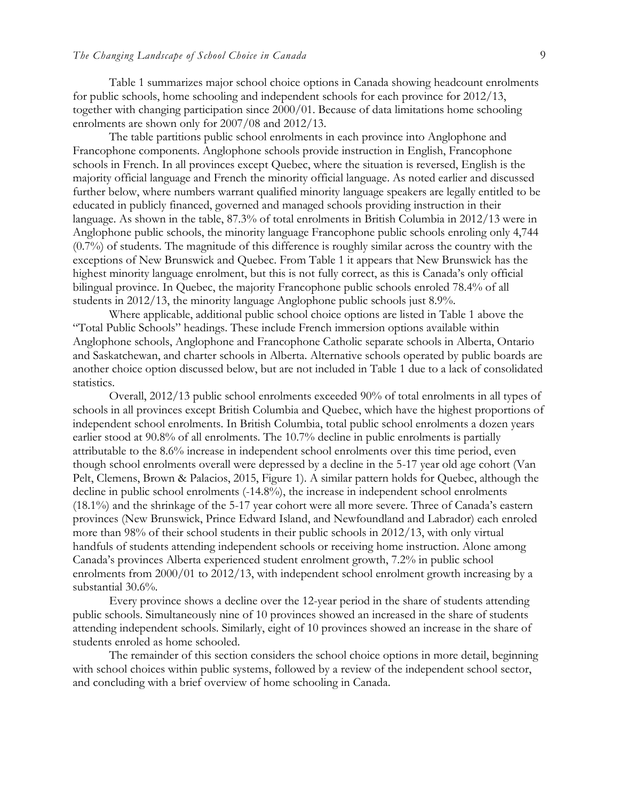Table 1 summarizes major school choice options in Canada showing headcount enrolments for public schools, home schooling and independent schools for each province for 2012/13, together with changing participation since 2000/01. Because of data limitations home schooling enrolments are shown only for 2007/08 and 2012/13.

The table partitions public school enrolments in each province into Anglophone and Francophone components. Anglophone schools provide instruction in English, Francophone schools in French. In all provinces except Quebec, where the situation is reversed, English is the majority official language and French the minority official language. As noted earlier and discussed further below, where numbers warrant qualified minority language speakers are legally entitled to be educated in publicly financed, governed and managed schools providing instruction in their language. As shown in the table, 87.3% of total enrolments in British Columbia in 2012/13 were in Anglophone public schools, the minority language Francophone public schools enroling only 4,744 (0.7%) of students. The magnitude of this difference is roughly similar across the country with the exceptions of New Brunswick and Quebec. From Table 1 it appears that New Brunswick has the highest minority language enrolment, but this is not fully correct, as this is Canada's only official bilingual province. In Quebec, the majority Francophone public schools enroled 78.4% of all students in 2012/13, the minority language Anglophone public schools just 8.9%.

Where applicable, additional public school choice options are listed in Table 1 above the "Total Public Schools" headings. These include French immersion options available within Anglophone schools, Anglophone and Francophone Catholic separate schools in Alberta, Ontario and Saskatchewan, and charter schools in Alberta. Alternative schools operated by public boards are another choice option discussed below, but are not included in Table 1 due to a lack of consolidated statistics.

Overall, 2012/13 public school enrolments exceeded 90% of total enrolments in all types of schools in all provinces except British Columbia and Quebec, which have the highest proportions of independent school enrolments. In British Columbia, total public school enrolments a dozen years earlier stood at 90.8% of all enrolments. The 10.7% decline in public enrolments is partially attributable to the 8.6% increase in independent school enrolments over this time period, even though school enrolments overall were depressed by a decline in the 5-17 year old age cohort (Van Pelt, Clemens, Brown & Palacios, 2015, Figure 1). A similar pattern holds for Quebec, although the decline in public school enrolments (-14.8%), the increase in independent school enrolments (18.1%) and the shrinkage of the 5-17 year cohort were all more severe. Three of Canada's eastern provinces (New Brunswick, Prince Edward Island, and Newfoundland and Labrador) each enroled more than 98% of their school students in their public schools in 2012/13, with only virtual handfuls of students attending independent schools or receiving home instruction. Alone among Canada's provinces Alberta experienced student enrolment growth, 7.2% in public school enrolments from 2000/01 to 2012/13, with independent school enrolment growth increasing by a substantial 30.6%.

Every province shows a decline over the 12-year period in the share of students attending public schools. Simultaneously nine of 10 provinces showed an increased in the share of students attending independent schools. Similarly, eight of 10 provinces showed an increase in the share of students enroled as home schooled.

The remainder of this section considers the school choice options in more detail, beginning with school choices within public systems, followed by a review of the independent school sector, and concluding with a brief overview of home schooling in Canada.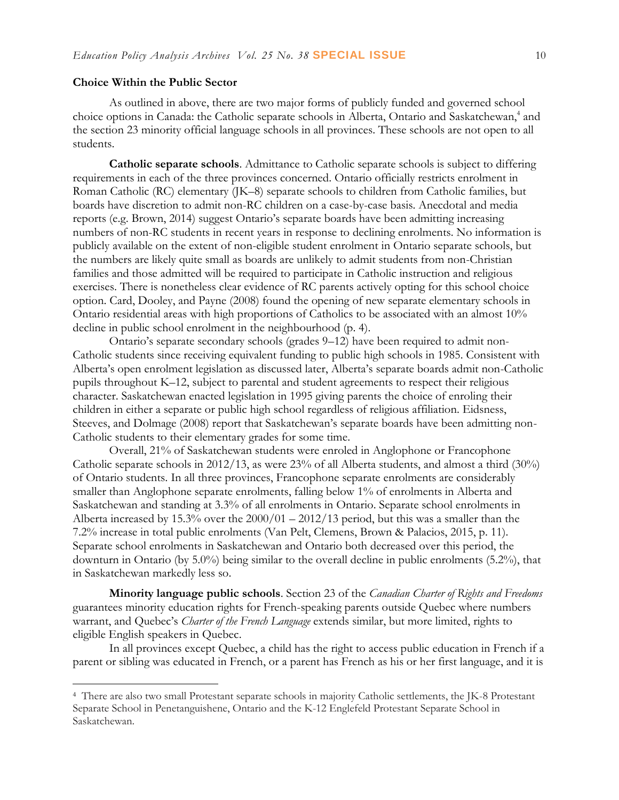#### **Choice Within the Public Sector**

 $\overline{a}$ 

As outlined in above, there are two major forms of publicly funded and governed school choice options in Canada: the Catholic separate schools in Alberta, Ontario and Saskatchewan,<sup>4</sup> and the section 23 minority official language schools in all provinces. These schools are not open to all students.

**Catholic separate schools**. Admittance to Catholic separate schools is subject to differing requirements in each of the three provinces concerned. Ontario officially restricts enrolment in Roman Catholic (RC) elementary (JK–8) separate schools to children from Catholic families, but boards have discretion to admit non-RC children on a case-by-case basis. Anecdotal and media reports (e.g. Brown, 2014) suggest Ontario's separate boards have been admitting increasing numbers of non-RC students in recent years in response to declining enrolments. No information is publicly available on the extent of non-eligible student enrolment in Ontario separate schools, but the numbers are likely quite small as boards are unlikely to admit students from non-Christian families and those admitted will be required to participate in Catholic instruction and religious exercises. There is nonetheless clear evidence of RC parents actively opting for this school choice option. Card, Dooley, and Payne (2008) found the opening of new separate elementary schools in Ontario residential areas with high proportions of Catholics to be associated with an almost 10% decline in public school enrolment in the neighbourhood (p. 4).

Ontario's separate secondary schools (grades 9–12) have been required to admit non-Catholic students since receiving equivalent funding to public high schools in 1985. Consistent with Alberta's open enrolment legislation as discussed later, Alberta's separate boards admit non-Catholic pupils throughout K–12, subject to parental and student agreements to respect their religious character. Saskatchewan enacted legislation in 1995 giving parents the choice of enroling their children in either a separate or public high school regardless of religious affiliation. Eidsness, Steeves, and Dolmage (2008) report that Saskatchewan's separate boards have been admitting non-Catholic students to their elementary grades for some time.

Overall, 21% of Saskatchewan students were enroled in Anglophone or Francophone Catholic separate schools in 2012/13, as were 23% of all Alberta students, and almost a third (30%) of Ontario students. In all three provinces, Francophone separate enrolments are considerably smaller than Anglophone separate enrolments, falling below 1% of enrolments in Alberta and Saskatchewan and standing at 3.3% of all enrolments in Ontario. Separate school enrolments in Alberta increased by 15.3% over the 2000/01 – 2012/13 period, but this was a smaller than the 7.2% increase in total public enrolments (Van Pelt, Clemens, Brown & Palacios, 2015, p. 11). Separate school enrolments in Saskatchewan and Ontario both decreased over this period, the downturn in Ontario (by 5.0%) being similar to the overall decline in public enrolments (5.2%), that in Saskatchewan markedly less so.

**Minority language public schools**. Section 23 of the *Canadian Charter of Rights and Freedoms*  guarantees minority education rights for French-speaking parents outside Quebec where numbers warrant, and Quebec's *Charter of the French Language* extends similar, but more limited, rights to eligible English speakers in Quebec.

In all provinces except Quebec, a child has the right to access public education in French if a parent or sibling was educated in French, or a parent has French as his or her first language, and it is

<sup>4</sup> There are also two small Protestant separate schools in majority Catholic settlements, the JK-8 Protestant Separate School in Penetanguishene, Ontario and the K-12 Englefeld Protestant Separate School in Saskatchewan.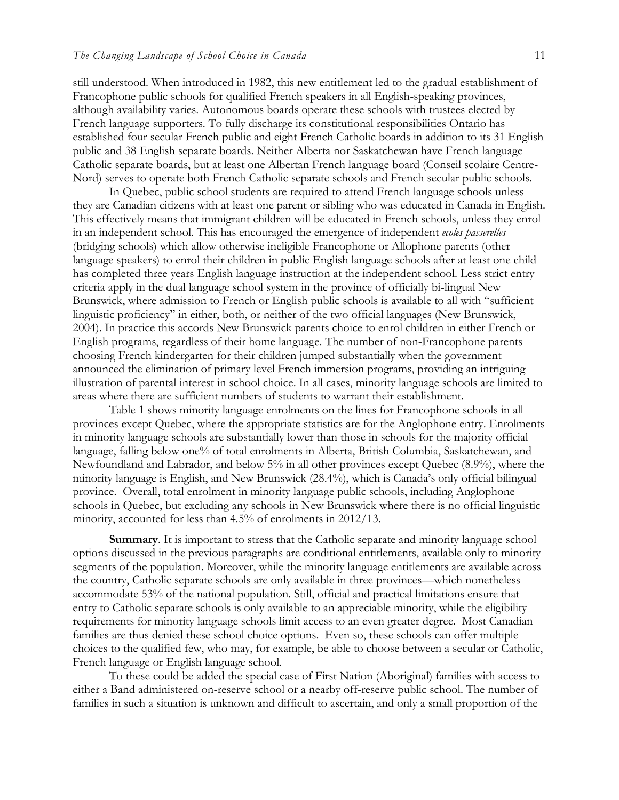still understood. When introduced in 1982, this new entitlement led to the gradual establishment of Francophone public schools for qualified French speakers in all English-speaking provinces, although availability varies. Autonomous boards operate these schools with trustees elected by French language supporters. To fully discharge its constitutional responsibilities Ontario has established four secular French public and eight French Catholic boards in addition to its 31 English public and 38 English separate boards. Neither Alberta nor Saskatchewan have French language Catholic separate boards, but at least one Albertan French language board (Conseil scolaire Centre-Nord) serves to operate both French Catholic separate schools and French secular public schools.

In Quebec, public school students are required to attend French language schools unless they are Canadian citizens with at least one parent or sibling who was educated in Canada in English. This effectively means that immigrant children will be educated in French schools, unless they enrol in an independent school. This has encouraged the emergence of independent *ecoles passerelles*  (bridging schools) which allow otherwise ineligible Francophone or Allophone parents (other language speakers) to enrol their children in public English language schools after at least one child has completed three years English language instruction at the independent school. Less strict entry criteria apply in the dual language school system in the province of officially bi-lingual New Brunswick, where admission to French or English public schools is available to all with "sufficient linguistic proficiency" in either, both, or neither of the two official languages (New Brunswick, 2004). In practice this accords New Brunswick parents choice to enrol children in either French or English programs, regardless of their home language. The number of non-Francophone parents choosing French kindergarten for their children jumped substantially when the government announced the elimination of primary level French immersion programs, providing an intriguing illustration of parental interest in school choice. In all cases, minority language schools are limited to areas where there are sufficient numbers of students to warrant their establishment.

Table 1 shows minority language enrolments on the lines for Francophone schools in all provinces except Quebec, where the appropriate statistics are for the Anglophone entry. Enrolments in minority language schools are substantially lower than those in schools for the majority official language, falling below one% of total enrolments in Alberta, British Columbia, Saskatchewan, and Newfoundland and Labrador, and below 5% in all other provinces except Quebec (8.9%), where the minority language is English, and New Brunswick (28.4%), which is Canada's only official bilingual province. Overall, total enrolment in minority language public schools, including Anglophone schools in Quebec, but excluding any schools in New Brunswick where there is no official linguistic minority, accounted for less than 4.5% of enrolments in 2012/13.

**Summary**. It is important to stress that the Catholic separate and minority language school options discussed in the previous paragraphs are conditional entitlements, available only to minority segments of the population. Moreover, while the minority language entitlements are available across the country, Catholic separate schools are only available in three provinces—which nonetheless accommodate 53% of the national population. Still, official and practical limitations ensure that entry to Catholic separate schools is only available to an appreciable minority, while the eligibility requirements for minority language schools limit access to an even greater degree. Most Canadian families are thus denied these school choice options. Even so, these schools can offer multiple choices to the qualified few, who may, for example, be able to choose between a secular or Catholic, French language or English language school.

To these could be added the special case of First Nation (Aboriginal) families with access to either a Band administered on-reserve school or a nearby off-reserve public school. The number of families in such a situation is unknown and difficult to ascertain, and only a small proportion of the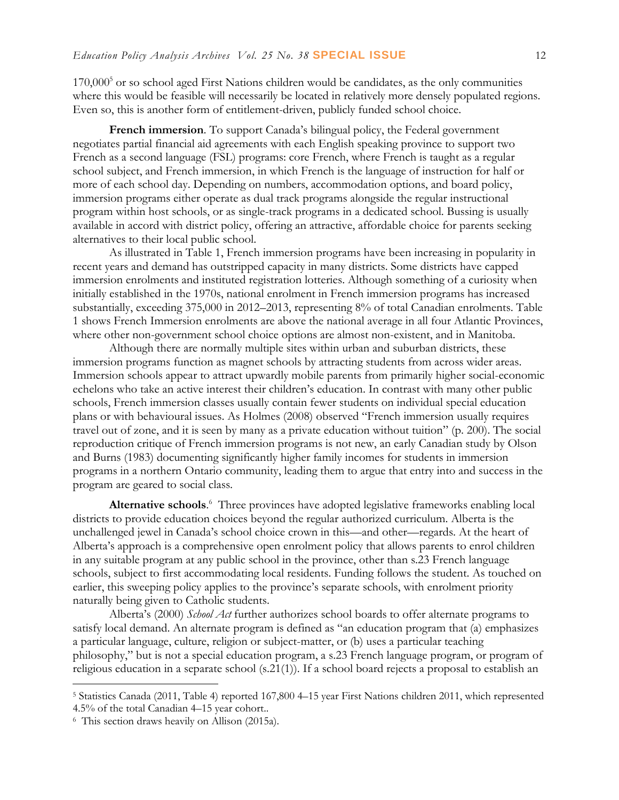$170,000<sup>5</sup>$  or so school aged First Nations children would be candidates, as the only communities where this would be feasible will necessarily be located in relatively more densely populated regions. Even so, this is another form of entitlement-driven, publicly funded school choice.

**French immersion**. To support Canada's bilingual policy, the Federal government negotiates partial financial aid agreements with each English speaking province to support two French as a second language (FSL) programs: core French, where French is taught as a regular school subject, and French immersion, in which French is the language of instruction for half or more of each school day. Depending on numbers, accommodation options, and board policy, immersion programs either operate as dual track programs alongside the regular instructional program within host schools, or as single-track programs in a dedicated school. Bussing is usually available in accord with district policy, offering an attractive, affordable choice for parents seeking alternatives to their local public school.

As illustrated in Table 1, French immersion programs have been increasing in popularity in recent years and demand has outstripped capacity in many districts. Some districts have capped immersion enrolments and instituted registration lotteries. Although something of a curiosity when initially established in the 1970s, national enrolment in French immersion programs has increased substantially, exceeding 375,000 in 2012–2013, representing 8% of total Canadian enrolments. Table 1 shows French Immersion enrolments are above the national average in all four Atlantic Provinces, where other non-government school choice options are almost non-existent, and in Manitoba.

Although there are normally multiple sites within urban and suburban districts, these immersion programs function as magnet schools by attracting students from across wider areas. Immersion schools appear to attract upwardly mobile parents from primarily higher social-economic echelons who take an active interest their children's education. In contrast with many other public schools, French immersion classes usually contain fewer students on individual special education plans or with behavioural issues. As Holmes (2008) observed "French immersion usually requires travel out of zone, and it is seen by many as a private education without tuition" (p. 200). The social reproduction critique of French immersion programs is not new, an early Canadian study by Olson and Burns (1983) documenting significantly higher family incomes for students in immersion programs in a northern Ontario community, leading them to argue that entry into and success in the program are geared to social class.

Alternative schools.<sup>6</sup> Three provinces have adopted legislative frameworks enabling local districts to provide education choices beyond the regular authorized curriculum. Alberta is the unchallenged jewel in Canada's school choice crown in this—and other—regards. At the heart of Alberta's approach is a comprehensive open enrolment policy that allows parents to enrol children in any suitable program at any public school in the province, other than s.23 French language schools, subject to first accommodating local residents. Funding follows the student. As touched on earlier, this sweeping policy applies to the province's separate schools, with enrolment priority naturally being given to Catholic students.

Alberta's (2000) *School Act* further authorizes school boards to offer alternate programs to satisfy local demand. An alternate program is defined as "an education program that (a) emphasizes a particular language, culture, religion or subject-matter, or (b) uses a particular teaching philosophy," but is not a special education program, a s.23 French language program, or program of religious education in a separate school (s.21(1)). If a school board rejects a proposal to establish an

<sup>5</sup> Statistics Canada (2011, Table 4) reported 167,800 4–15 year First Nations children 2011, which represented 4.5% of the total Canadian 4–15 year cohort..

<sup>6</sup> This section draws heavily on Allison (2015a).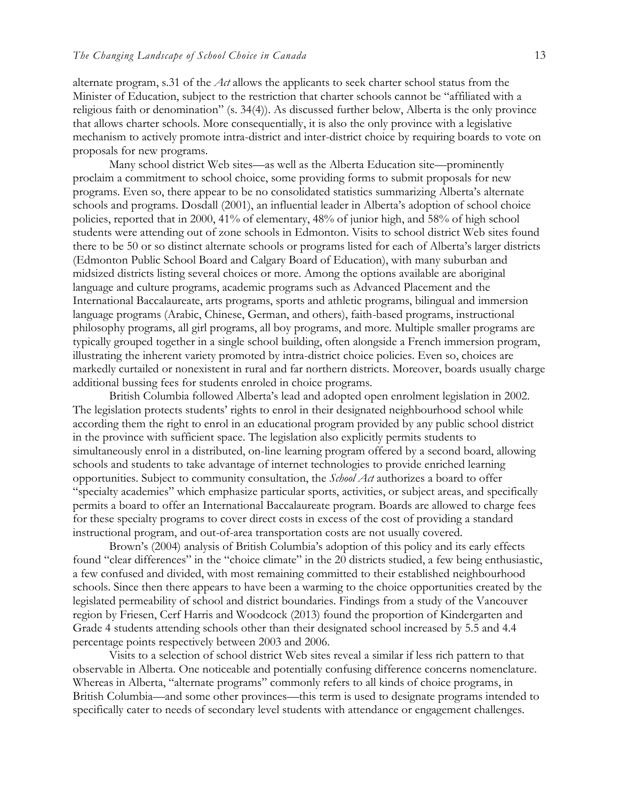alternate program, s.31 of the *Act* allows the applicants to seek charter school status from the Minister of Education, subject to the restriction that charter schools cannot be "affiliated with a religious faith or denomination" (s. 34(4)). As discussed further below, Alberta is the only province that allows charter schools. More consequentially, it is also the only province with a legislative mechanism to actively promote intra-district and inter-district choice by requiring boards to vote on proposals for new programs.

Many school district Web sites—as well as the Alberta Education site—prominently proclaim a commitment to school choice, some providing forms to submit proposals for new programs. Even so, there appear to be no consolidated statistics summarizing Alberta's alternate schools and programs. Dosdall (2001), an influential leader in Alberta's adoption of school choice policies, reported that in 2000, 41% of elementary, 48% of junior high, and 58% of high school students were attending out of zone schools in Edmonton. Visits to school district Web sites found there to be 50 or so distinct alternate schools or programs listed for each of Alberta's larger districts (Edmonton Public School Board and Calgary Board of Education), with many suburban and midsized districts listing several choices or more. Among the options available are aboriginal language and culture programs, academic programs such as Advanced Placement and the International Baccalaureate, arts programs, sports and athletic programs, bilingual and immersion language programs (Arabic, Chinese, German, and others), faith-based programs, instructional philosophy programs, all girl programs, all boy programs, and more. Multiple smaller programs are typically grouped together in a single school building, often alongside a French immersion program, illustrating the inherent variety promoted by intra-district choice policies. Even so, choices are markedly curtailed or nonexistent in rural and far northern districts. Moreover, boards usually charge additional bussing fees for students enroled in choice programs.

British Columbia followed Alberta's lead and adopted open enrolment legislation in 2002. The legislation protects students' rights to enrol in their designated neighbourhood school while according them the right to enrol in an educational program provided by any public school district in the province with sufficient space. The legislation also explicitly permits students to simultaneously enrol in a distributed, on-line learning program offered by a second board, allowing schools and students to take advantage of internet technologies to provide enriched learning opportunities. Subject to community consultation, the *School Act* authorizes a board to offer "specialty academies" which emphasize particular sports, activities, or subject areas, and specifically permits a board to offer an International Baccalaureate program. Boards are allowed to charge fees for these specialty programs to cover direct costs in excess of the cost of providing a standard instructional program, and out-of-area transportation costs are not usually covered.

Brown's (2004) analysis of British Columbia's adoption of this policy and its early effects found "clear differences" in the "choice climate" in the 20 districts studied, a few being enthusiastic, a few confused and divided, with most remaining committed to their established neighbourhood schools. Since then there appears to have been a warming to the choice opportunities created by the legislated permeability of school and district boundaries. Findings from a study of the Vancouver region by Friesen, Cerf Harris and Woodcock (2013) found the proportion of Kindergarten and Grade 4 students attending schools other than their designated school increased by 5.5 and 4.4 percentage points respectively between 2003 and 2006.

Visits to a selection of school district Web sites reveal a similar if less rich pattern to that observable in Alberta. One noticeable and potentially confusing difference concerns nomenclature. Whereas in Alberta, "alternate programs" commonly refers to all kinds of choice programs, in British Columbia—and some other provinces—this term is used to designate programs intended to specifically cater to needs of secondary level students with attendance or engagement challenges.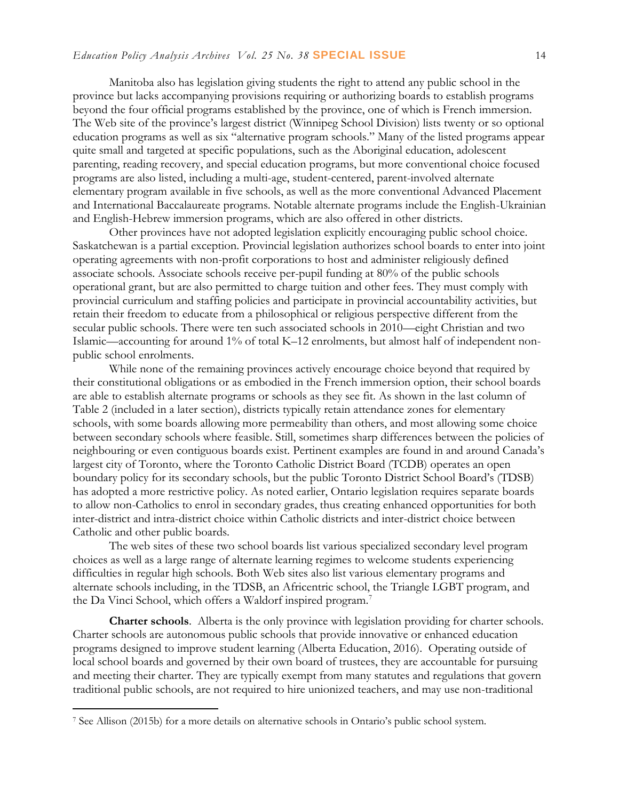Manitoba also has legislation giving students the right to attend any public school in the province but lacks accompanying provisions requiring or authorizing boards to establish programs beyond the four official programs established by the province, one of which is French immersion. The Web site of the province's largest district (Winnipeg School Division) lists twenty or so optional education programs as well as six "alternative program schools." Many of the listed programs appear quite small and targeted at specific populations, such as the Aboriginal education, adolescent parenting, reading recovery, and special education programs, but more conventional choice focused programs are also listed, including a multi-age, student-centered, parent-involved alternate elementary program available in five schools, as well as the more conventional Advanced Placement and International Baccalaureate programs. Notable alternate programs include the English-Ukrainian and English-Hebrew immersion programs, which are also offered in other districts.

Other provinces have not adopted legislation explicitly encouraging public school choice. Saskatchewan is a partial exception. Provincial legislation authorizes school boards to enter into joint operating agreements with non-profit corporations to host and administer religiously defined associate schools. Associate schools receive per-pupil funding at 80% of the public schools operational grant, but are also permitted to charge tuition and other fees. They must comply with provincial curriculum and staffing policies and participate in provincial accountability activities, but retain their freedom to educate from a philosophical or religious perspective different from the secular public schools. There were ten such associated schools in 2010—eight Christian and two Islamic—accounting for around 1% of total K–12 enrolments, but almost half of independent nonpublic school enrolments.

While none of the remaining provinces actively encourage choice beyond that required by their constitutional obligations or as embodied in the French immersion option, their school boards are able to establish alternate programs or schools as they see fit. As shown in the last column of Table 2 (included in a later section), districts typically retain attendance zones for elementary schools, with some boards allowing more permeability than others, and most allowing some choice between secondary schools where feasible. Still, sometimes sharp differences between the policies of neighbouring or even contiguous boards exist. Pertinent examples are found in and around Canada's largest city of Toronto, where the Toronto Catholic District Board (TCDB) operates an open boundary policy for its secondary schools, but the public Toronto District School Board's (TDSB) has adopted a more restrictive policy. As noted earlier, Ontario legislation requires separate boards to allow non-Catholics to enrol in secondary grades, thus creating enhanced opportunities for both inter-district and intra-district choice within Catholic districts and inter-district choice between Catholic and other public boards.

The web sites of these two school boards list various specialized secondary level program choices as well as a large range of alternate learning regimes to welcome students experiencing difficulties in regular high schools. Both Web sites also list various elementary programs and alternate schools including, in the TDSB, an Africentric school, the Triangle LGBT program, and the Da Vinci School, which offers a Waldorf inspired program.<sup>7</sup>

**Charter schools**. Alberta is the only province with legislation providing for charter schools. Charter schools are autonomous public schools that provide innovative or enhanced education programs designed to improve student learning (Alberta Education, 2016). Operating outside of local school boards and governed by their own board of trustees, they are accountable for pursuing and meeting their charter. They are typically exempt from many statutes and regulations that govern traditional public schools, are not required to hire unionized teachers, and may use non-traditional

<sup>7</sup> See Allison (2015b) for a more details on alternative schools in Ontario's public school system.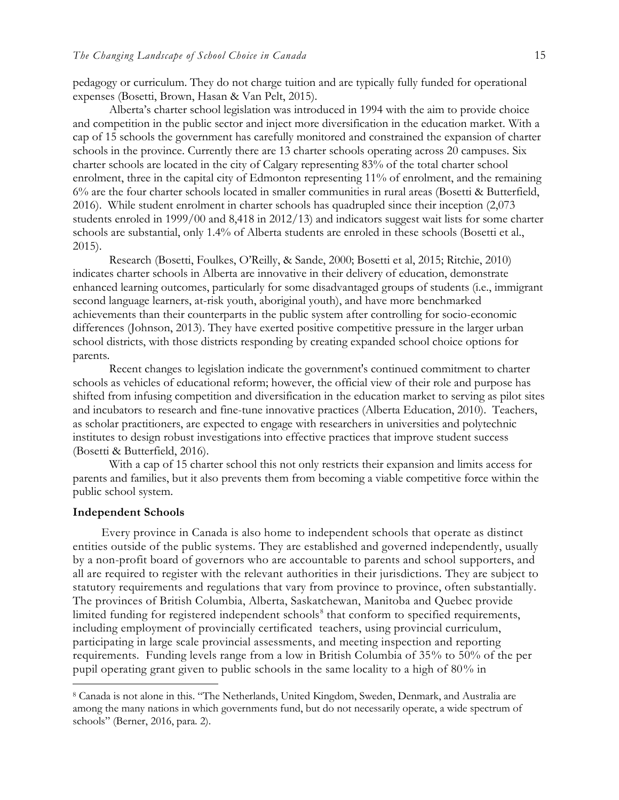pedagogy or curriculum. They do not charge tuition and are typically fully funded for operational expenses (Bosetti, Brown, Hasan & Van Pelt, 2015).

Alberta's charter school legislation was introduced in 1994 with the aim to provide choice and competition in the public sector and inject more diversification in the education market. With a cap of 15 schools the government has carefully monitored and constrained the expansion of charter schools in the province. Currently there are 13 charter schools operating across 20 campuses. Six charter schools are located in the city of Calgary representing 83% of the total charter school enrolment, three in the capital city of Edmonton representing 11% of enrolment, and the remaining 6% are the four charter schools located in smaller communities in rural areas (Bosetti & Butterfield, 2016). While student enrolment in charter schools has quadrupled since their inception (2,073 students enroled in 1999/00 and 8,418 in 2012/13) and indicators suggest wait lists for some charter schools are substantial, only 1.4% of Alberta students are enroled in these schools (Bosetti et al., 2015).

Research (Bosetti, Foulkes, O'Reilly, & Sande, 2000; Bosetti et al, 2015; Ritchie, 2010) indicates charter schools in Alberta are innovative in their delivery of education, demonstrate enhanced learning outcomes, particularly for some disadvantaged groups of students (i.e., immigrant second language learners, at-risk youth, aboriginal youth), and have more benchmarked achievements than their counterparts in the public system after controlling for socio-economic differences (Johnson, 2013). They have exerted positive competitive pressure in the larger urban school districts, with those districts responding by creating expanded school choice options for parents.

Recent changes to legislation indicate the government's continued commitment to charter schools as vehicles of educational reform; however, the official view of their role and purpose has shifted from infusing competition and diversification in the education market to serving as pilot sites and incubators to research and fine-tune innovative practices (Alberta Education, 2010). Teachers, as scholar practitioners, are expected to engage with researchers in universities and polytechnic institutes to design robust investigations into effective practices that improve student success (Bosetti & Butterfield, 2016).

With a cap of 15 charter school this not only restricts their expansion and limits access for parents and families, but it also prevents them from becoming a viable competitive force within the public school system.

#### **Independent Schools**

 $\overline{a}$ 

Every province in Canada is also home to independent schools that operate as distinct entities outside of the public systems. They are established and governed independently, usually by a non-profit board of governors who are accountable to parents and school supporters, and all are required to register with the relevant authorities in their jurisdictions. They are subject to statutory requirements and regulations that vary from province to province, often substantially. The provinces of British Columbia, Alberta, Saskatchewan, Manitoba and Quebec provide limited funding for registered independent schools<sup>8</sup> that conform to specified requirements, including employment of provincially certificated teachers, using provincial curriculum, participating in large scale provincial assessments, and meeting inspection and reporting requirements. Funding levels range from a low in British Columbia of 35% to 50% of the per pupil operating grant given to public schools in the same locality to a high of 80% in

<sup>8</sup> Canada is not alone in this. "The Netherlands, United Kingdom, Sweden, Denmark, and Australia are among the many nations in which governments fund, but do not necessarily operate, a wide spectrum of schools" (Berner, 2016, para. 2).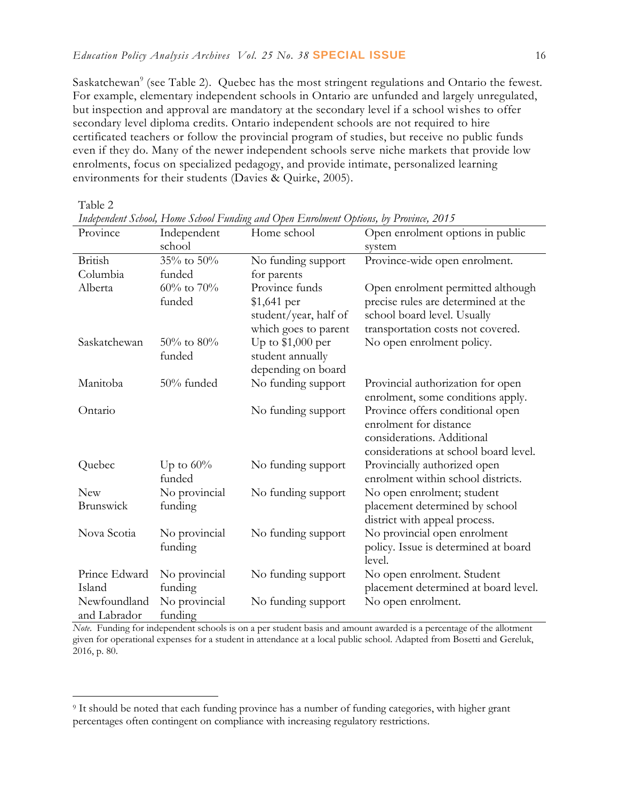Saskatchewan<sup>9</sup> (see Table 2). Quebec has the most stringent regulations and Ontario the fewest. For example, elementary independent schools in Ontario are unfunded and largely unregulated, but inspection and approval are mandatory at the secondary level if a school wishes to offer secondary level diploma credits. Ontario independent schools are not required to hire certificated teachers or follow the provincial program of studies, but receive no public funds even if they do. Many of the newer independent schools serve niche markets that provide low enrolments, focus on specialized pedagogy, and provide intimate, personalized learning environments for their students (Davies & Quirke, 2005).

Table 2

 $\overline{a}$ 

| Province      | Independent      | Home school           | Open enrolment options in public      |  |  |
|---------------|------------------|-----------------------|---------------------------------------|--|--|
|               | school           |                       | system                                |  |  |
| British       | 35% to 50%       | No funding support    | Province-wide open enrolment.         |  |  |
| Columbia      | funded           | for parents           |                                       |  |  |
| Alberta       | $60\%$ to $70\%$ | Province funds        | Open enrolment permitted although     |  |  |
|               | funded           | $$1,641$ per          | precise rules are determined at the   |  |  |
|               |                  | student/year, half of | school board level. Usually           |  |  |
|               |                  | which goes to parent  | transportation costs not covered.     |  |  |
| Saskatchewan  | 50% to 80%       | Up to $$1,000$ per    | No open enrolment policy.             |  |  |
|               | funded           | student annually      |                                       |  |  |
|               |                  | depending on board    |                                       |  |  |
| Manitoba      | 50% funded       | No funding support    | Provincial authorization for open     |  |  |
|               |                  |                       | enrolment, some conditions apply.     |  |  |
| Ontario       |                  | No funding support    | Province offers conditional open      |  |  |
|               |                  |                       | enrolment for distance                |  |  |
|               |                  |                       | considerations. Additional            |  |  |
|               |                  |                       | considerations at school board level. |  |  |
| Quebec        | Up to $60\%$     | No funding support    | Provincially authorized open          |  |  |
|               | funded           |                       | enrolment within school districts.    |  |  |
| <b>New</b>    | No provincial    | No funding support    | No open enrolment; student            |  |  |
| Brunswick     | funding          |                       | placement determined by school        |  |  |
|               |                  |                       | district with appeal process.         |  |  |
| Nova Scotia   | No provincial    | No funding support    | No provincial open enrolment          |  |  |
|               | funding          |                       | policy. Issue is determined at board  |  |  |
|               |                  |                       | level.                                |  |  |
| Prince Edward | No provincial    | No funding support    | No open enrolment. Student            |  |  |
| Island        | funding          |                       | placement determined at board level.  |  |  |
| Newfoundland  | No provincial    | No funding support    | No open enrolment.                    |  |  |
| and Labrador  | funding          |                       |                                       |  |  |

*Independent School, Home School Funding and Open Enrolment Options, by Province, 2015*

*Note*. Funding for independent schools is on a per student basis and amount awarded is a percentage of the allotment given for operational expenses for a student in attendance at a local public school. Adapted from Bosetti and Gereluk, 2016, p. 80.

<sup>9</sup> It should be noted that each funding province has a number of funding categories, with higher grant percentages often contingent on compliance with increasing regulatory restrictions.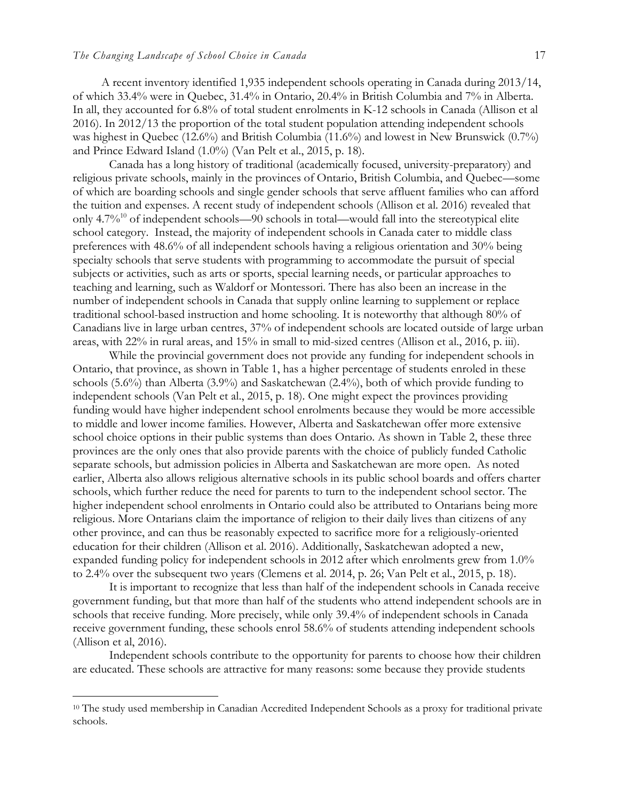A recent inventory identified 1,935 independent schools operating in Canada during 2013/14, of which 33.4% were in Quebec, 31.4% in Ontario, 20.4% in British Columbia and 7% in Alberta. In all, they accounted for 6.8% of total student enrolments in K-12 schools in Canada (Allison et al 2016). In 2012/13 the proportion of the total student population attending independent schools was highest in Quebec (12.6%) and British Columbia (11.6%) and lowest in New Brunswick (0.7%) and Prince Edward Island (1.0%) (Van Pelt et al., 2015, p. 18).

Canada has a long history of traditional (academically focused, university-preparatory) and religious private schools, mainly in the provinces of Ontario, British Columbia, and Quebec—some of which are boarding schools and single gender schools that serve affluent families who can afford the tuition and expenses. A recent study of independent schools (Allison et al. 2016) revealed that only 4.7%<sup>10</sup> of independent schools—90 schools in total—would fall into the stereotypical elite school category. Instead, the majority of independent schools in Canada cater to middle class preferences with 48.6% of all independent schools having a religious orientation and 30% being specialty schools that serve students with programming to accommodate the pursuit of special subjects or activities, such as arts or sports, special learning needs, or particular approaches to teaching and learning, such as Waldorf or Montessori. There has also been an increase in the number of independent schools in Canada that supply online learning to supplement or replace traditional school-based instruction and home schooling. It is noteworthy that although 80% of Canadians live in large urban centres, 37% of independent schools are located outside of large urban areas, with 22% in rural areas, and 15% in small to mid-sized centres (Allison et al., 2016, p. iii).

While the provincial government does not provide any funding for independent schools in Ontario, that province, as shown in Table 1, has a higher percentage of students enroled in these schools (5.6%) than Alberta (3.9%) and Saskatchewan (2.4%), both of which provide funding to independent schools (Van Pelt et al., 2015, p. 18). One might expect the provinces providing funding would have higher independent school enrolments because they would be more accessible to middle and lower income families. However, Alberta and Saskatchewan offer more extensive school choice options in their public systems than does Ontario. As shown in Table 2, these three provinces are the only ones that also provide parents with the choice of publicly funded Catholic separate schools, but admission policies in Alberta and Saskatchewan are more open. As noted earlier, Alberta also allows religious alternative schools in its public school boards and offers charter schools, which further reduce the need for parents to turn to the independent school sector. The higher independent school enrolments in Ontario could also be attributed to Ontarians being more religious. More Ontarians claim the importance of religion to their daily lives than citizens of any other province, and can thus be reasonably expected to sacrifice more for a religiously-oriented education for their children (Allison et al. 2016). Additionally, Saskatchewan adopted a new, expanded funding policy for independent schools in 2012 after which enrolments grew from 1.0% to 2.4% over the subsequent two years (Clemens et al. 2014, p. 26; Van Pelt et al., 2015, p. 18).

It is important to recognize that less than half of the independent schools in Canada receive government funding, but that more than half of the students who attend independent schools are in schools that receive funding. More precisely, while only 39.4% of independent schools in Canada receive government funding, these schools enrol 58.6% of students attending independent schools (Allison et al, 2016).

Independent schools contribute to the opportunity for parents to choose how their children are educated. These schools are attractive for many reasons: some because they provide students

<sup>10</sup> The study used membership in Canadian Accredited Independent Schools as a proxy for traditional private schools.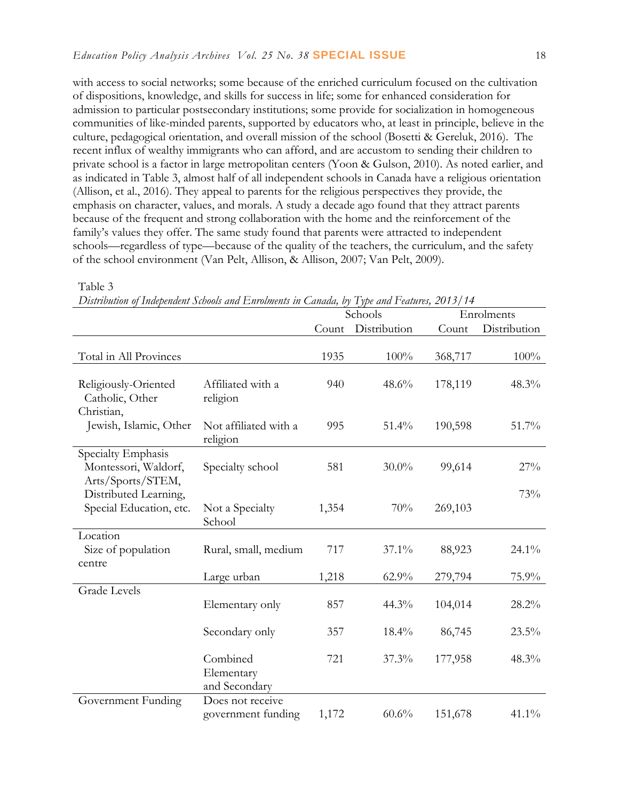with access to social networks; some because of the enriched curriculum focused on the cultivation of dispositions, knowledge, and skills for success in life; some for enhanced consideration for admission to particular postsecondary institutions; some provide for socialization in homogeneous communities of like-minded parents, supported by educators who, at least in principle, believe in the culture, pedagogical orientation, and overall mission of the school (Bosetti & Gereluk, 2016). The recent influx of wealthy immigrants who can afford, and are accustom to sending their children to private school is a factor in large metropolitan centers (Yoon & Gulson, 2010). As noted earlier, and as indicated in Table 3, almost half of all independent schools in Canada have a religious orientation (Allison, et al., 2016). They appeal to parents for the religious perspectives they provide, the emphasis on character, values, and morals. A study a decade ago found that they attract parents because of the frequent and strong collaboration with the home and the reinforcement of the family's values they offer. The same study found that parents were attracted to independent schools—regardless of type—because of the quality of the teachers, the curriculum, and the safety of the school environment (Van Pelt, Allison, & Allison, 2007; Van Pelt, 2009).

|                                                                 |                                         | $\nu$ istrivinion of Independent Stroots and Enrothents in Canada, by Type and I califics, 2019 for<br>Schools |              | Enrolments |              |
|-----------------------------------------------------------------|-----------------------------------------|----------------------------------------------------------------------------------------------------------------|--------------|------------|--------------|
|                                                                 |                                         | Count                                                                                                          | Distribution | Count      | Distribution |
| Total in All Provinces                                          |                                         | 1935                                                                                                           | 100%         | 368,717    | 100%         |
| Religiously-Oriented<br>Catholic, Other<br>Christian,           | Affiliated with a<br>religion           | 940                                                                                                            | 48.6%        | 178,119    | 48.3%        |
| Jewish, Islamic, Other                                          | Not affiliated with a<br>religion       | 995                                                                                                            | 51.4%        | 190,598    | 51.7%        |
| Specialty Emphasis<br>Montessori, Waldorf,<br>Arts/Sports/STEM, | Specialty school                        | 581                                                                                                            | $30.0\%$     | 99,614     | 27%          |
| Distributed Learning,<br>Special Education, etc.                | Not a Specialty<br>School               | 1,354                                                                                                          | 70%          | 269,103    | 73%          |
| Location<br>Size of population<br>centre                        | Rural, small, medium                    | 717                                                                                                            | 37.1%        | 88,923     | 24.1%        |
|                                                                 | Large urban                             | 1,218                                                                                                          | 62.9%        | 279,794    | 75.9%        |
| <b>Grade Levels</b>                                             | Elementary only                         | 857                                                                                                            | 44.3%        | 104,014    | 28.2%        |
|                                                                 | Secondary only                          | 357                                                                                                            | 18.4%        | 86,745     | 23.5%        |
|                                                                 | Combined<br>Elementary<br>and Secondary | 721                                                                                                            | 37.3%        | 177,958    | 48.3%        |
| Government Funding                                              | Does not receive<br>government funding  | 1,172                                                                                                          | 60.6%        | 151,678    | 41.1%        |

Table 3

*Distribution of Independent Schools and Enrolments in Canada, by Type and Features, 2013/14*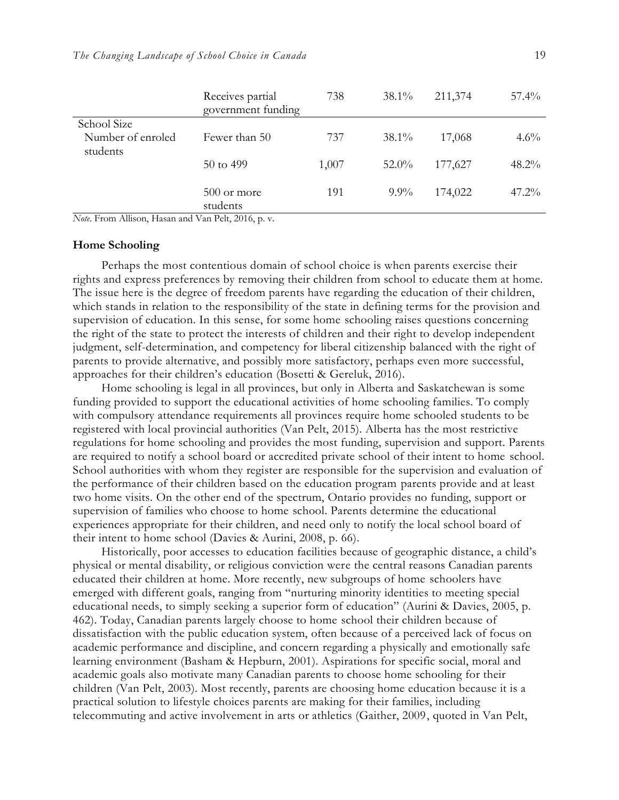|                               | Receives partial<br>government funding | 738   | $38.1\%$ | 211,374 | $57.4\%$ |
|-------------------------------|----------------------------------------|-------|----------|---------|----------|
| School Size                   |                                        |       |          |         |          |
| Number of enroled<br>students | Fewer than 50                          | 737   | $38.1\%$ | 17,068  | $4.6\%$  |
|                               | 50 to 499                              | 1,007 | $52.0\%$ | 177,627 | $48.2\%$ |
|                               | 500 or more<br>students                | 191   | $9.9\%$  | 174,022 | $47.2\%$ |

*Note*. From Allison, Hasan and Van Pelt, 2016, p. v.

#### **Home Schooling**

Perhaps the most contentious domain of school choice is when parents exercise their rights and express preferences by removing their children from school to educate them at home. The issue here is the degree of freedom parents have regarding the education of their chi ldren, which stands in relation to the responsibility of the state in defining terms for the provision and supervision of education. In this sense, for some home schooling raises questions concerning the right of the state to protect the interests of children and their right to develop independent judgment, self-determination, and competency for liberal citizenship balanced with the right of parents to provide alternative, and possibly more satisfactory, perhaps even more successful, approaches for their children's education (Bosetti & Gereluk, 2016).

Home schooling is legal in all provinces, but only in Alberta and Saskatchewan is some funding provided to support the educational activities of home schooling families. To comply with compulsory attendance requirements all provinces require home schooled students to be registered with local provincial authorities (Van Pelt, 2015). Alberta has the most restrictive regulations for home schooling and provides the most funding, supervision and support. Parents are required to notify a school board or accredited private school of their intent to home school. School authorities with whom they register are responsible for the supervision and evaluation of the performance of their children based on the education program parents provide and at least two home visits. On the other end of the spectrum, Ontario provides no funding, support or supervision of families who choose to home school. Parents determine the educational experiences appropriate for their children, and need only to notify the local school board of their intent to home school (Davies & Aurini, 2008, p. 66).

Historically, poor accesses to education facilities because of geographic distance, a child's physical or mental disability, or religious conviction were the central reasons Canadian parents educated their children at home. More recently, new subgroups of home schoolers have emerged with different goals, ranging from "nurturing minority identities to meeting special educational needs, to simply seeking a superior form of education" (Aurini & Davies, 2005, p. 462). Today, Canadian parents largely choose to home school their children because of dissatisfaction with the public education system, often because of a perceived lack of focus on academic performance and discipline, and concern regarding a physically and emotionally safe learning environment (Basham & Hepburn, 2001). Aspirations for specific social, moral and academic goals also motivate many Canadian parents to choose home schooling for their children (Van Pelt, 2003). Most recently, parents are choosing home education because it is a practical solution to lifestyle choices parents are making for their families, including telecommuting and active involvement in arts or athletics (Gaither, 2009, quoted in Van Pelt,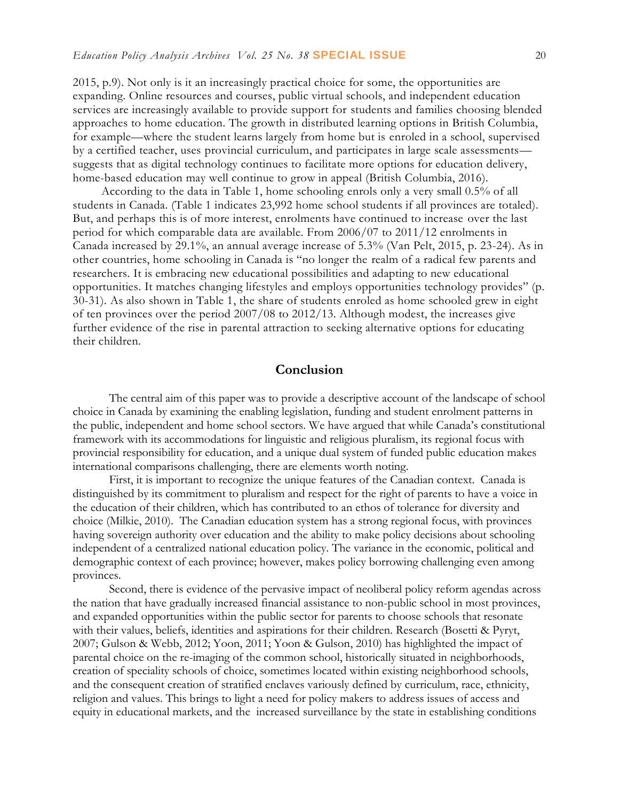2015, p.9). Not only is it an increasingly practical choice for some, the opportunities are expanding. Online resources and courses, public virtual schools, and independent education services are increasingly available to provide support for students and families choosing blended approaches to home education. The growth in distributed learning options in British Columbia, for example—where the student learns largely from home but is enroled in a school, supervised by a certified teacher, uses provincial curriculum, and participates in large scale assessments suggests that as digital technology continues to facilitate more options for education delivery, home-based education may well continue to grow in appeal (British Columbia, 2016).

According to the data in Table 1, home schooling enrols only a very small 0.5% of all students in Canada. (Table 1 indicates 23,992 home school students if all provinces are totaled). But, and perhaps this is of more interest, enrolments have continued to increase over the last period for which comparable data are available. From 2006/07 to 2011/12 enrolments in Canada increased by 29.1%, an annual average increase of 5.3% (Van Pelt, 2015, p. 23-24). As in other countries, home schooling in Canada is "no longer the realm of a radical few parents and researchers. It is embracing new educational possibilities and adapting to new educational opportunities. It matches changing lifestyles and employs opportunities technology provides" (p. 30-31). As also shown in Table 1, the share of students enroled as home schooled grew in eight of ten provinces over the period 2007/08 to 2012/13. Although modest, the increases give further evidence of the rise in parental attraction to seeking alternative options for educating their children.

#### **Conclusion**

The central aim of this paper was to provide a descriptive account of the landscape of school choice in Canada by examining the enabling legislation, funding and student enrolment patterns in the public, independent and home school sectors. We have argued that while Canada's constitutional framework with its accommodations for linguistic and religious pluralism, its regional focus with provincial responsibility for education, and a unique dual system of funded public education makes international comparisons challenging, there are elements worth noting.

First, it is important to recognize the unique features of the Canadian context. Canada is distinguished by its commitment to pluralism and respect for the right of parents to have a voice in the education of their children, which has contributed to an ethos of tolerance for diversity and choice (Milkie, 2010). The Canadian education system has a strong regional focus, with provinces having sovereign authority over education and the ability to make policy decisions about schooling independent of a centralized national education policy. The variance in the economic, political and demographic context of each province; however, makes policy borrowing challenging even among provinces.

Second, there is evidence of the pervasive impact of neoliberal policy reform agendas across the nation that have gradually increased financial assistance to non-public school in most provinces, and expanded opportunities within the public sector for parents to choose schools that resonate with their values, beliefs, identities and aspirations for their children. Research (Bosetti & Pyryt, 2007; Gulson & Webb, 2012; Yoon, 2011; Yoon & Gulson, 2010) has highlighted the impact of parental choice on the re-imaging of the common school, historically situated in neighborhoods, creation of speciality schools of choice, sometimes located within existing neighborhood schools, and the consequent creation of stratified enclaves variously defined by curriculum, race, ethnicity, religion and values. This brings to light a need for policy makers to address issues of access and equity in educational markets, and the increased surveillance by the state in establishing conditions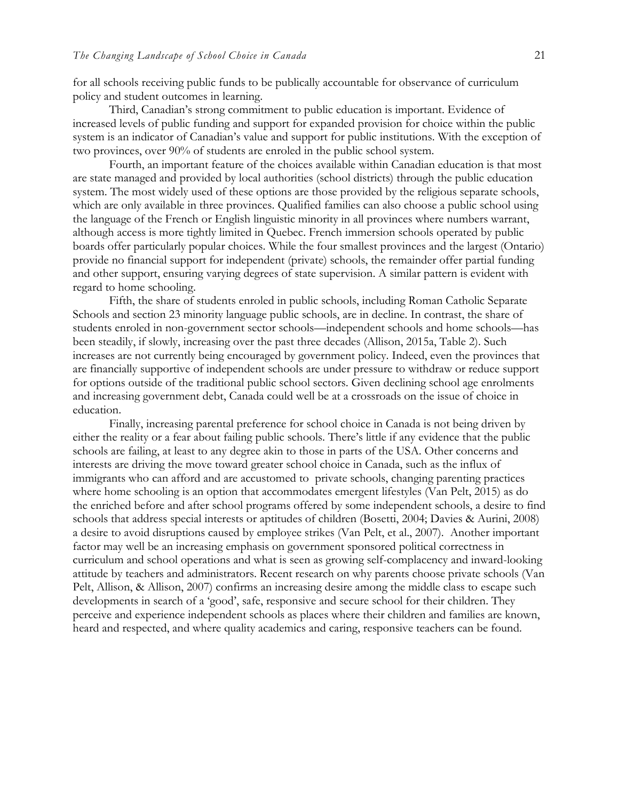for all schools receiving public funds to be publically accountable for observance of curriculum policy and student outcomes in learning.

Third, Canadian's strong commitment to public education is important. Evidence of increased levels of public funding and support for expanded provision for choice within the public system is an indicator of Canadian's value and support for public institutions. With the exception of two provinces, over 90% of students are enroled in the public school system.

Fourth, an important feature of the choices available within Canadian education is that most are state managed and provided by local authorities (school districts) through the public education system. The most widely used of these options are those provided by the religious separate schools, which are only available in three provinces. Qualified families can also choose a public school using the language of the French or English linguistic minority in all provinces where numbers warrant, although access is more tightly limited in Quebec. French immersion schools operated by public boards offer particularly popular choices. While the four smallest provinces and the largest (Ontario) provide no financial support for independent (private) schools, the remainder offer partial funding and other support, ensuring varying degrees of state supervision. A similar pattern is evident with regard to home schooling.

Fifth, the share of students enroled in public schools, including Roman Catholic Separate Schools and section 23 minority language public schools, are in decline. In contrast, the share of students enroled in non-government sector schools—independent schools and home schools—has been steadily, if slowly, increasing over the past three decades (Allison, 2015a, Table 2). Such increases are not currently being encouraged by government policy. Indeed, even the provinces that are financially supportive of independent schools are under pressure to withdraw or reduce support for options outside of the traditional public school sectors. Given declining school age enrolments and increasing government debt, Canada could well be at a crossroads on the issue of choice in education.

Finally, increasing parental preference for school choice in Canada is not being driven by either the reality or a fear about failing public schools. There's little if any evidence that the public schools are failing, at least to any degree akin to those in parts of the USA. Other concerns and interests are driving the move toward greater school choice in Canada, such as the influx of immigrants who can afford and are accustomed to private schools, changing parenting practices where home schooling is an option that accommodates emergent lifestyles (Van Pelt, 2015) as do the enriched before and after school programs offered by some independent schools, a desire to find schools that address special interests or aptitudes of children (Bosetti, 2004; Davies & Aurini, 2008) a desire to avoid disruptions caused by employee strikes (Van Pelt, et al., 2007). Another important factor may well be an increasing emphasis on government sponsored political correctness in curriculum and school operations and what is seen as growing self-complacency and inward-looking attitude by teachers and administrators. Recent research on why parents choose private schools (Van Pelt, Allison, & Allison, 2007) confirms an increasing desire among the middle class to escape such developments in search of a 'good', safe, responsive and secure school for their children. They perceive and experience independent schools as places where their children and families are known, heard and respected, and where quality academics and caring, responsive teachers can be found.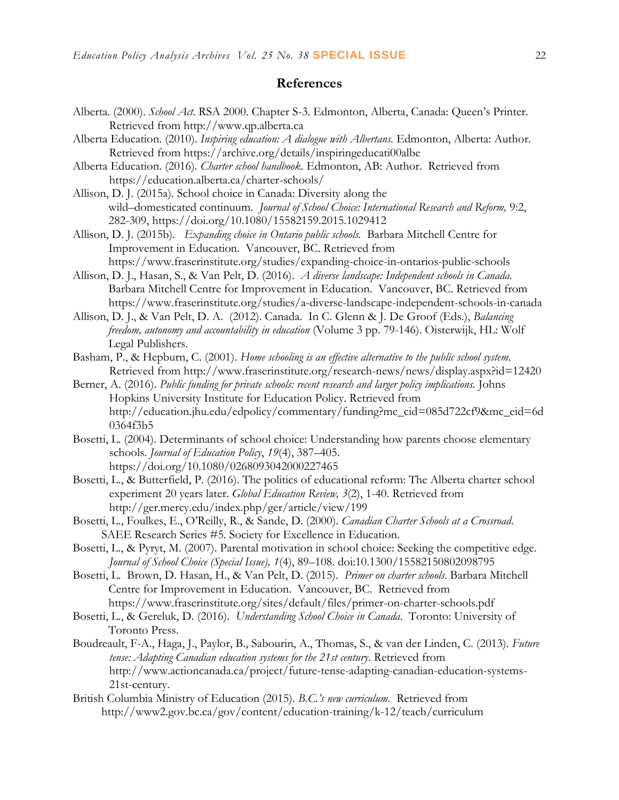## **References**

- Alberta. (2000). *School Act*. RSA 2000. Chapter S-3. Edmonton, Alberta, Canada: Queen's Printer. Retrieved from http://www.qp.alberta.ca
- Alberta Education. (2010). *Inspiring education: A dialogue with Albertans.* Edmonton, Alberta: Author. Retrieved from https://archive.org/details/inspiringeducati00albe
- Alberta Education. (2016). *Charter school handbook*. Edmonton, AB: Author. Retrieved from https://education.alberta.ca/charter-schools/
- Allison, D. J. (2015a). School choice in Canada: Diversity along the wild–domesticated continuum. *Journal of School Choice: International Research and Reform,* 9:2, 282-309, https://doi.org/10.1080/15582159.2015.1029412
- Allison, D. J. (2015b). *Expanding choice in Ontario public schools.* Barbara Mitchell Centre for Improvement in Education. Vancouver, BC. Retrieved from https://www.fraserinstitute.org/studies/expanding-choice-in-ontarios-public-schools
- Allison, D. J., Hasan, S., & Van Pelt, D. (2016). *A diverse landscape: Independent schools in Canada.*  Barbara Mitchell Centre for Improvement in Education. Vancouver, BC. Retrieved from https://www.fraserinstitute.org/studies/a-diverse-landscape-independent-schools-in-canada
- Allison, D. J., & Van Pelt, D. A. (2012). Canada. In C. Glenn & J. De Groof (Eds.), *Balancing freedom, autonomy and accountability in education* (Volume 3 pp. 79-146). Oisterwijk, HL: Wolf Legal Publishers.
- Basham, P., & Hepburn, C. (2001). *Home schooling is an effective alternative to the public school system*. Retrieved from<http://www.fraserinstitute.org/research-news/news/display.aspx?id=12420>
- Berner, A. (2016). *Public funding for private schools: recent research and larger policy implications.* Johns Hopkins University Institute for Education Policy. Retrieved from [http://education.jhu.edu/edpolicy/commentary/funding?mc\\_cid=085d722cf9&mc\\_eid=6d](http://education.jhu.edu/edpolicy/commentary/funding?mc_cid=085d722cf9&mc_eid=6d0364f3b5) [0364f3b5](http://education.jhu.edu/edpolicy/commentary/funding?mc_cid=085d722cf9&mc_eid=6d0364f3b5)
- Bosetti, L. (2004). Determinants of school choice: Understanding how parents choose elementary schools. *Journal of Education Policy*, *19*(4), 387–405. https://doi.org/10.1080/0268093042000227465
- Bosetti, L., & Butterfield, P. (2016). The politics of educational reform: The Alberta charter school experiment 20 years later. *Global Education Review, 3*(2), 1-40. Retrieved from http://ger.mercy.edu/index.php/ger/article/view/199
- Bosetti, L., Foulkes, E., O'Reilly, R., & Sande, D. (2000). *Canadian Charter Schools at a Crossroad*. SAEE Research Series #5. Society for Excellence in Education.
- Bosetti, L., & Pyryt, M. (2007). Parental motivation in school choice: Seeking the competitive edge. *Journal of School Choice (Special Issue), 1*(4), 89–108. doi:10.1300/15582150802098795
- Bosetti, L. Brown, D. Hasan, H., & Van Pelt, D. (2015). *Primer on charter schools*. Barbara Mitchell Centre for Improvement in Education. Vancouver, BC. Retrieved from https://www.fraserinstitute.org/sites/default/files/primer-on-charter-schools.pdf
- Bosetti, L., & Gereluk, D. (2016)*. Understanding School Choice in Canada*. Toronto: University of Toronto Press.
- Boudreault, F-A., Haga, J., Paylor, B., Sabourin, A., Thomas, S., & van der Linden, C. (2013). *Future tense: Adapting Canadian education systems for the 21st century*. Retrieved from [http://www.actioncanada.ca/project/future-tense-adapting-canadian-education-systems-](http://www.actioncanada.ca/project/future-tense-adapting-canadian-education-systems-21st-century)[21st-century.](http://www.actioncanada.ca/project/future-tense-adapting-canadian-education-systems-21st-century)
- British Columbia Ministry of Education (2015). *B.C.'s new curriculum.* Retrieved from <http://www2.gov.bc.ca/gov/content/education-training/k-12/teach/curriculum>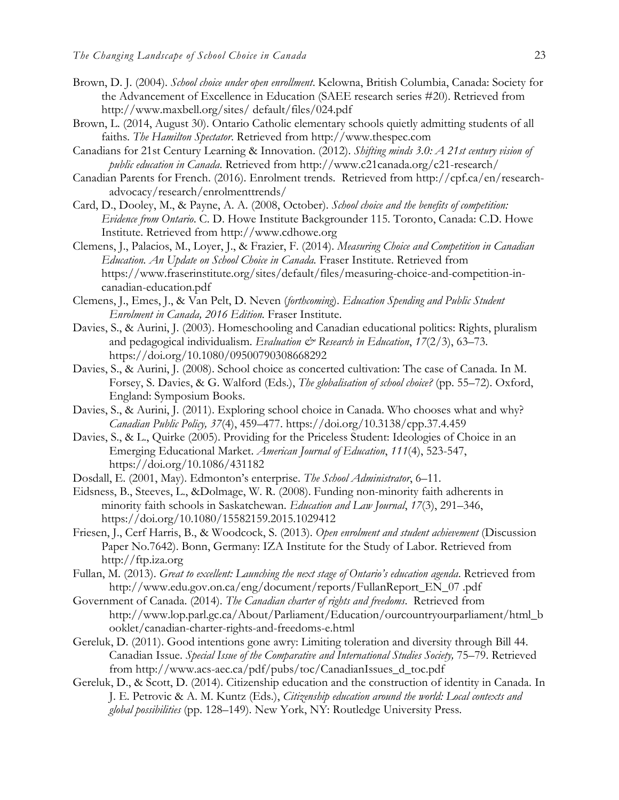- Brown, D. J. (2004). *School choice under open enrollment*. Kelowna, British Columbia, Canada: Society for the Advancement of Excellence in Education (SAEE research series #20). Retrieved from <http://www.maxbell.org/sites/> default/files/024.pdf
- Brown, L. (2014, August 30). Ontario Catholic elementary schools quietly admitting students of all faiths. *The Hamilton Spectator*. Retrieved from [http://www.thespec.com](http://www.thespec.com/)
- Canadians for 21st Century Learning & Innovation. (2012). *Shifting minds 3.0: A 21st century vision of public education in Canada*. Retrieved from http:/[/www.c21canada.org/c21-research/](http://www.c21canada.org/c21-research/)
- Canadian Parents for French. (2016). Enrolment trends. Retrieved from http://cpf.ca/en/researchadvocacy/research/enrolmenttrends/
- Card, D., Dooley, M., & Payne, A. A. (2008, October). *School choice and the benefits of competition: Evidence from Ontario*. C. D. Howe Institute Backgrounder 115. Toronto, Canada: C.D. Howe Institute. Retrieved from [http://www.cdhowe.org](http://www.cdhowe.org/)
- Clemens, J., Palacios, M., Loyer, J., & Frazier, F. (2014). *Measuring Choice and Competition in Canadian Education. An Update on School Choice in Canada.* Fraser Institute. Retrieved from https://www.fraserinstitute.org/sites/default/files/measuring-choice-and-competition-incanadian-education.pdf
- Clemens, J., Emes, J., & Van Pelt, D. Neven (*forthcoming*). *Education Spending and Public Student Enrolment in Canada, 2016 Edition.* Fraser Institute.
- Davies, S., & Aurini, J. (2003). Homeschooling and Canadian educational politics: Rights, pluralism and pedagogical individualism. Evaluation & Research in Education, 17(2/3), 63-73. https://doi.org/10.1080/09500790308668292
- Davies, S., & Aurini, J. (2008). School choice as concerted cultivation: The case of Canada. In M. Forsey, S. Davies, & G. Walford (Eds.), *The globalisation of school choice?* (pp. 55–72). Oxford, England: Symposium Books.
- Davies, S., & Aurini, J. (2011). Exploring school choice in Canada. Who chooses what and why? *Canadian Public Policy, 37*(4), 459–477. https://doi.org/10.3138/cpp.37.4.459
- Davies, S., & L., Quirke (2005). Providing for the Priceless Student: Ideologies of Choice in an Emerging Educational Market. *American Journal of Education*, *111*(4), 523-547, https://doi.org/10.1086/431182
- Dosdall, E. (2001, May). Edmonton's enterprise. *The School Administrator*, 6–11.
- Eidsness, B., Steeves, L., &Dolmage, W. R. (2008). Funding non-minority faith adherents in minority faith schools in Saskatchewan. *Education and Law Journal*, *17*(3), 291–346, https://doi.org/10.1080/15582159.2015.1029412
- Friesen, J., Cerf Harris, B., & Woodcock, S. (2013). *Open enrolment and student achievement* (Discussion Paper No.7642). Bonn, Germany: IZA Institute for the Study of Labor. Retrieved from http://ftp.iza.org
- Fullan, M. (2013). *Great to excellent: Launching the next stage of Ontario's education agenda*. Retrieved from [http://www.edu.gov.on.ca/eng/document/reports/FullanReport\\_EN\\_07 .pdf](http://www.edu.gov.on.ca/eng/document/reports/FullanReport_EN_07%20.pdf)
- Government of Canada. (2014). *The Canadian charter of rights and freedoms*. Retrieved from [http://www.lop.parl.gc.ca/About/Parliament/Education/ourcountryourparliament/html\\_b](http://www.lop.parl.gc.ca/About/Parliament/Education/ourcountryourparliament/html_booklet/canadian-charter-rights-and-freedoms-e.html) [ooklet/canadian-charter-rights-and-freedoms-e.html](http://www.lop.parl.gc.ca/About/Parliament/Education/ourcountryourparliament/html_booklet/canadian-charter-rights-and-freedoms-e.html)
- Gereluk, D. (2011). Good intentions gone awry: Limiting toleration and diversity through Bill 44. Canadian Issue. *Special Issue of the Comparative and International Studies Society,* 75–79. Retrieved from [http://www.acs-aec.ca/pdf/pubs/toc/CanadianIssues\\_d\\_toc.pdf](http://www.acs-aec.ca/pdf/pubs/toc/CanadianIssues_d_toc.pdf)
- Gereluk, D., & Scott, D. (2014). Citizenship education and the construction of identity in Canada. In J. E. Petrovic & A. M. Kuntz (Eds.), *Citizenship education around the world: Local contexts and global possibilities* (pp. 128–149). New York, NY: Routledge University Press.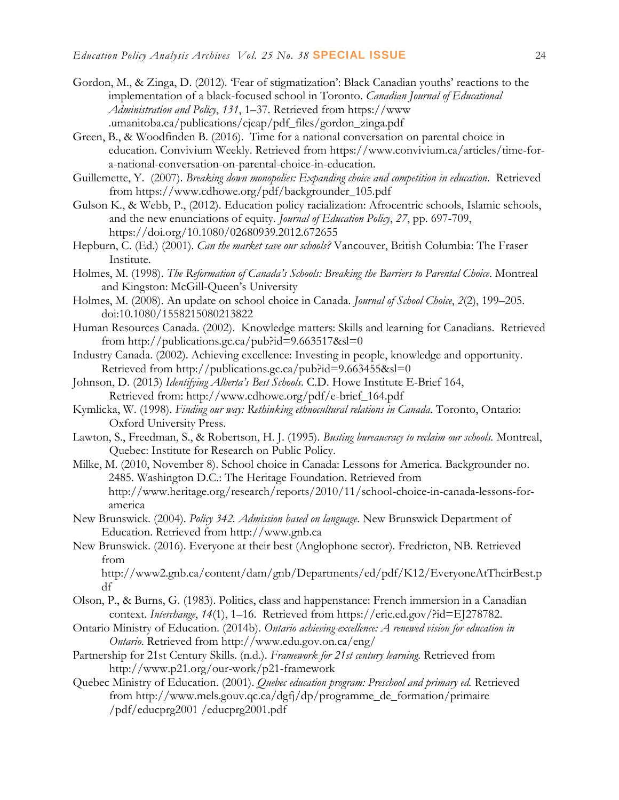- Gordon, M., & Zinga, D. (2012). 'Fear of stigmatization': Black Canadian youths' reactions to the implementation of a black-focused school in Toronto. *Canadian Journal of Educational Administration and Policy*, *131*, 1–37. Retrieved from [https://www](https://www/) .umanitoba.ca/publications/cjeap/pdf\_files/gordon\_zinga.pdf
- Green, B., & Woodfinden B. (2016). Time for a national conversation on parental choice in education. Convivium Weekly. Retrieved from [https://www.convivium.ca/articles/time-for](https://www.convivium.ca/articles/time-for-a-national-conversation-on-parental-choice-in-education)[a-national-conversation-on-parental-choice-in-education.](https://www.convivium.ca/articles/time-for-a-national-conversation-on-parental-choice-in-education)
- Guillemette, Y. (2007). *Breaking down monopolies: Expanding choice and competition in education.* Retrieved from [https://www.cdhowe.org/pdf/backgrounder\\_105.pdf](https://www.cdhowe.org/pdf/backgrounder_105.pdf)
- Gulson K., & Webb, P., (2012). Education policy racialization: Afrocentric schools, Islamic schools, and the new enunciations of equity. *Journal of Education Policy*, *27*, pp. 697-709, https://doi.org/10.1080/02680939.2012.672655
- Hepburn, C. (Ed.) (2001). *Can the market save our schools?* Vancouver, British Columbia: The Fraser Institute.
- Holmes, M. (1998). *The Reformation of Canada's Schools: Breaking the Barriers to Parental Choice*. Montreal and Kingston: McGill-Queen's University
- Holmes, M. (2008). An update on school choice in Canada. *Journal of School Choice*, *2*(2), 199–205. doi:10.1080/1558215080213822
- Human Resources Canada. (2002). Knowledge matters: Skills and learning for Canadians. Retrieved from<http://publications.gc.ca/pub?id=9.663517&sl=0>
- Industry Canada. (2002). Achieving excellence: Investing in people, knowledge and opportunity. Retrieved from http://publications.gc.ca/pub?id=9.663455&sl=0
- Johnson, D. (2013) *Identifying Alberta's Best Schools*. C.D. Howe Institute E-Brief 164, Retrieved from: [http://www.cdhowe.org/pdf/e-brief\\_164.pdf](http://www.cdhowe.org/pdf/e-brief_164.pdf)
- Kymlicka, W. (1998). *Finding our way: Rethinking ethnocultural relations in Canada*. Toronto, Ontario: Oxford University Press.
- Lawton, S., Freedman, S., & Robertson, H. J. (1995). *Busting bureaucracy to reclaim our schools.* Montreal, Quebec: Institute for Research on Public Policy.
- Milke, M. (2010, November 8). School choice in Canada: Lessons for America. Backgrounder no. 2485. Washington D.C.: The Heritage Foundation. Retrieved from [http://www.heritage.org/research/reports/2010/11/school-choice-in-canada-lessons-for](http://www.heritage.org/research/reports/2010/11/school-choice-in-canada-lessons-for-america)[america](http://www.heritage.org/research/reports/2010/11/school-choice-in-canada-lessons-for-america)
- New Brunswick. (2004). *Policy 342. Admission based on language*. New Brunswick Department of Education. Retrieved from [http://www.gnb.ca](http://www.gnb.ca/)
- New Brunswick. (2016). Everyone at their best (Anglophone sector). Fredricton, NB. Retrieved from

http://www2.gnb.ca/content/dam/gnb/Departments/ed/pdf/K12/EveryoneAtTheirBest.p df

- Olson, P., & Burns, G. (1983). Politics, class and happenstance: French immersion in a Canadian context. *Interchange*, *14*(1), 1–16. Retrieved from https://eric.ed.gov/?id=EJ278782.
- Ontario Ministry of Education. (2014b). *Ontario achieving excellence: A renewed vision for education in Ontario*. Retrieved from<http://www.edu.gov.on.ca/eng/>
- Partnership for 21st Century Skills. (n.d.). *Framework for 21st century learning.* Retrieved from <http://www.p21.org/our-work/p21-framework>
- Quebec Ministry of Education. (2001). *Quebec education program: Preschool and primary ed.* Retrieved from [http://www.mels.gouv.qc.ca/dgfj/dp/programme\\_de\\_formation/primaire](http://www.mels.gouv.qc.ca/dgfj/dp/programme_de_formation/primaire) /pdf/educprg2001 /educprg2001.pdf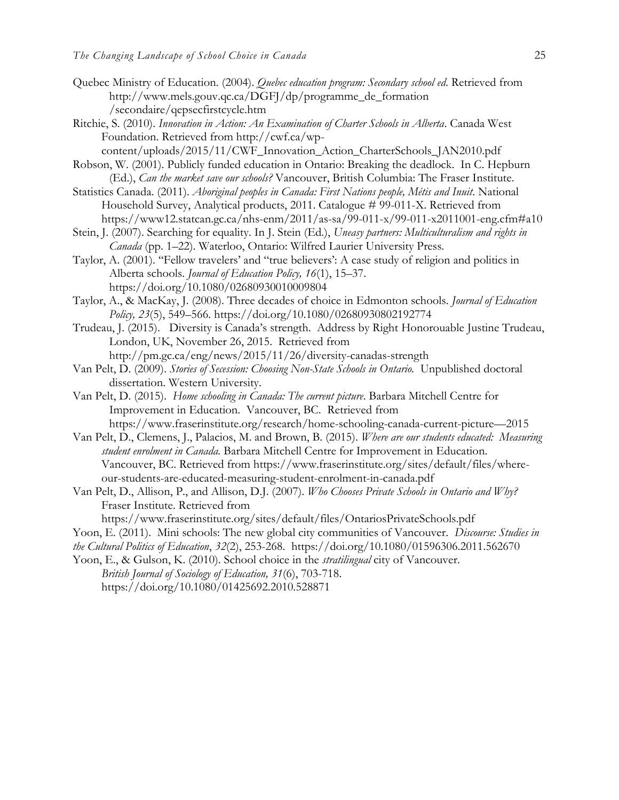- Quebec Ministry of Education. (2004). *Quebec education program: Secondary school ed*. Retrieved from [http://www.mels.gouv.qc.ca/DGFJ/dp/programme\\_de\\_formation](http://www.mels.gouv.qc.ca/DGFJ/dp/programme_de_formation%20/secondaire/qepsecfirstcycle.htm)  [/secondaire/qepsecfirstcycle.htm](http://www.mels.gouv.qc.ca/DGFJ/dp/programme_de_formation%20/secondaire/qepsecfirstcycle.htm)
- Ritchie, S. (2010). *Innovation in Action: An Examination of Charter Schools in Alberta*. Canada West Foundation. Retrieved from http://cwf.ca/wp-
- content/uploads/2015/11/CWF\_Innovation\_Action\_CharterSchools\_JAN2010.pdf
- Robson, W. (2001). Publicly funded education in Ontario: Breaking the deadlock. In C. Hepburn (Ed.), *Can the market save our schools?* Vancouver, British Columbia: The Fraser Institute.
- Statistics Canada. (2011). *Aboriginal peoples in Canada: First Nations people, Métis and Inuit*. National Household Survey, Analytical products, 2011. Catalogue # 99-011-X. Retrieved from https://www12.statcan.gc.ca/nhs-enm/2011/as-sa/99-011-x/99-011-x2011001-eng.cfm#a10
- Stein, J. (2007). Searching for equality. In J. Stein (Ed.), *Uneasy partners: Multiculturalism and rights in Canada* (pp. 1–22). Waterloo, Ontario: Wilfred Laurier University Press.
- Taylor, A. (2001). "Fellow travelers' and "true believers': A case study of religion and politics in Alberta schools. *Journal of Education Policy, 16*(1), 15–37. https://doi.org/10.1080/02680930010009804
- Taylor, A., & MacKay, J. (2008). Three decades of choice in Edmonton schools. *Journal of Education Policy, 23*(5), 549–566. https://doi.org/10.1080/02680930802192774
- Trudeau, J. (2015). Diversity is Canada's strength. Address by Right Honorouable Justine Trudeau, London, UK, November 26, 2015. Retrieved from http://pm.gc.ca/eng/news/2015/11/26/diversity-canadas-strength
- Van Pelt, D. (2009). *Stories of Secession: Choosing Non-State Schools in Ontario.* Unpublished doctoral dissertation. Western University.
- Van Pelt, D. (2015). *Home schooling in Canada: The current picture*. Barbara Mitchell Centre for Improvement in Education. Vancouver, BC. Retrieved from https://www.fraserinstitute.org/research/home-schooling-canada-current-picture—2015
- Van Pelt, D., Clemens, J., Palacios, M. and Brown, B. (2015). *Where are our students educated: Measuring student enrolment in Canada.* Barbara Mitchell Centre for Improvement in Education. Vancouver, BC. Retrieved from https://www.fraserinstitute.org/sites/default/files/whereour-students-are-educated-measuring-student-enrolment-in-canada.pdf
- Van Pelt, D., Allison, P., and Allison, D.J. (2007). *Who Chooses Private Schools in Ontario and Why?* Fraser Institute. Retrieved from

https://www.fraserinstitute.org/sites/default/files/OntariosPrivateSchools.pdf

- Yoon, E. (2011). Mini schools: The new global city communities of Vancouver. *Discourse: Studies in*
- *the Cultural Politics of Education*, *32*(2), 253-268. https://doi.org/10.1080/01596306.2011.562670
- Yoon, E., & Gulson, K. (2010). [School choice in the](http://www.tandfonline.com/doi/abs/10.1080/01425692.2010.528871) *stratilingual* city of Vancouver. *[British Journal of](http://www.tandfonline.com/toc/cbse20/31/6) Sociology of Education, 31*(6), 703-718. https://doi.org/10.1080/01425692.2010.528871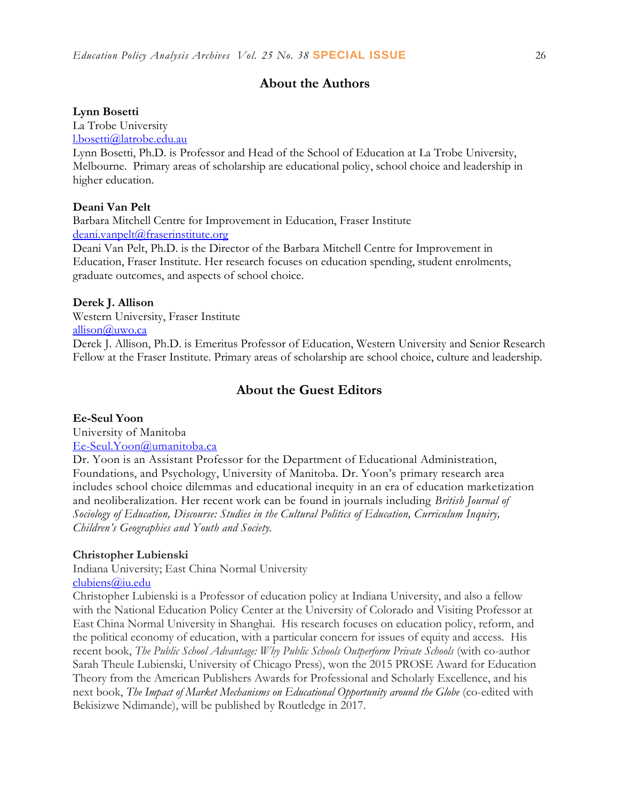## **About the Authors**

#### **Lynn Bosetti**

La Trobe University

[l.bosetti@latrobe.edu.au](mailto:l.bosetti@latrobe.edu.au)

Lynn Bosetti, Ph.D. is Professor and Head of the School of Education at La Trobe University, Melbourne. Primary areas of scholarship are educational policy, school choice and leadership in higher education.

#### **Deani Van Pelt**

Barbara Mitchell Centre for Improvement in Education, Fraser Institute [deani.vanpelt@fraserinstitute.org](mailto:deani.vanpelt@fraserinstitute.org)

Deani Van Pelt, Ph.D. is the Director of the Barbara Mitchell Centre for Improvement in Education, Fraser Institute. Her research focuses on education spending, student enrolments, graduate outcomes, and aspects of school choice.

#### **Derek J. Allison**

Western University, Fraser Institute [allison@uwo.ca](mailto:allison@uwo.ca) 

Derek J. Allison, Ph.D. is Emeritus Professor of Education, Western University and Senior Research Fellow at the Fraser Institute. Primary areas of scholarship are school choice, culture and leadership.

## **About the Guest Editors**

#### **Ee-Seul Yoon**

University of Manitoba

#### [Ee-Seul.Yoon@umanitoba.ca](mailto:Ee-Seul.Yoon@umanitoba.ca)

Dr. Yoon is an Assistant Professor for the Department of Educational Administration, Foundations, and Psychology, University of Manitoba. Dr. Yoon's primary research area includes school choice dilemmas and educational inequity in an era of education marketization and neoliberalization. Her recent work can be found in journals including *British Journal of Sociology of Education, Discourse: Studies in the Cultural Politics of Education, Curriculum Inquiry, Children's Geographies and Youth and Society.*

#### **Christopher Lubienski**

Indiana University; East China Normal University

#### [clubiens@iu.edu](mailto:clubiens@iu.edu)

Christopher Lubienski is a Professor of education policy at Indiana University, and also a fellow with the National Education Policy Center at the University of Colorado and Visiting Professor at East China Normal University in Shanghai. His research focuses on education policy, reform, and the political economy of education, with a particular concern for issues of equity and access. His recent book, *The Public School Advantage: Why Public Schools Outperform Private Schools* (with co-author Sarah Theule Lubienski, University of Chicago Press), won the 2015 PROSE Award for Education Theory from the American Publishers Awards for Professional and Scholarly Excellence, and his next book, *The Impact of Market Mechanisms on Educational Opportunity around the Globe* (co-edited with Bekisizwe Ndimande), will be published by Routledge in 2017.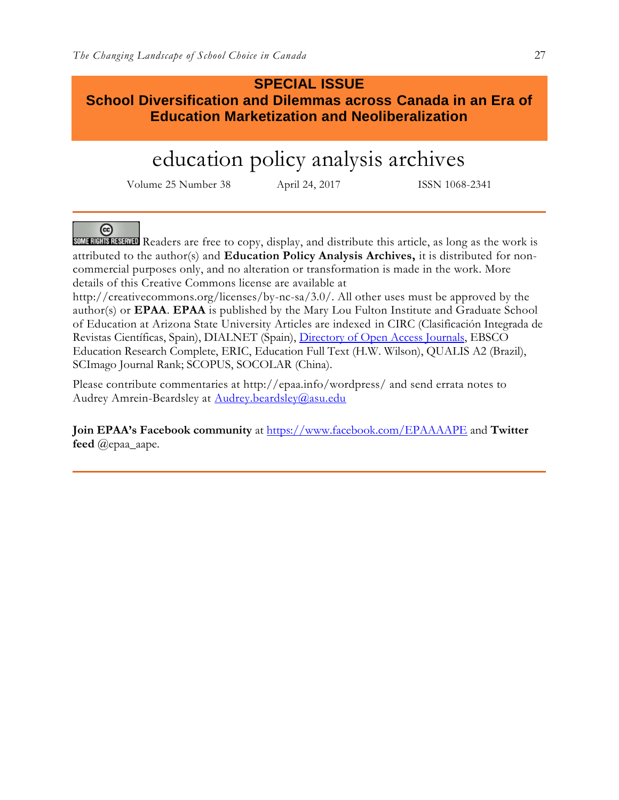## **SPECIAL ISSUE**

**School Diversification and Dilemmas across Canada in an Era of Education Marketization and Neoliberalization**

# education policy analysis archives

Volume 25 Number 38 April 24, 2017 ISSN 1068-2341

ര

SOME RIGHTS RESERVED Readers are free to copy, display, and distribute this article, as long as the work is attributed to the author(s) and **Education Policy Analysis Archives,** it is distributed for noncommercial purposes only, and no alteration or transformation is made in the work. More details of this Creative Commons license are available at

http://creativecommons.org/licenses/by-nc-sa/3.0/. All other uses must be approved by the author(s) or **EPAA**. **EPAA** is published by the Mary Lou Fulton Institute and Graduate School of Education at Arizona State University Articles are indexed in CIRC (Clasificación Integrada de Revistas Científicas, Spain), DIALNET (Spain), [Directory of Open Access Journals,](http://www.doaj.org/) EBSCO Education Research Complete, ERIC, Education Full Text (H.W. Wilson), QUALIS A2 (Brazil), SCImago Journal Rank; SCOPUS, SOCOLAR (China).

Please contribute commentaries at http://epaa.info/wordpress/ and send errata notes to Audrey Amrein-Beardsley at [Audrey.beardsley@asu.edu](mailto:Audrey.beardsley@asu.edu)

**Join EPAA's Facebook community** at<https://www.facebook.com/EPAAAAPE> and **Twitter feed** @epaa\_aape.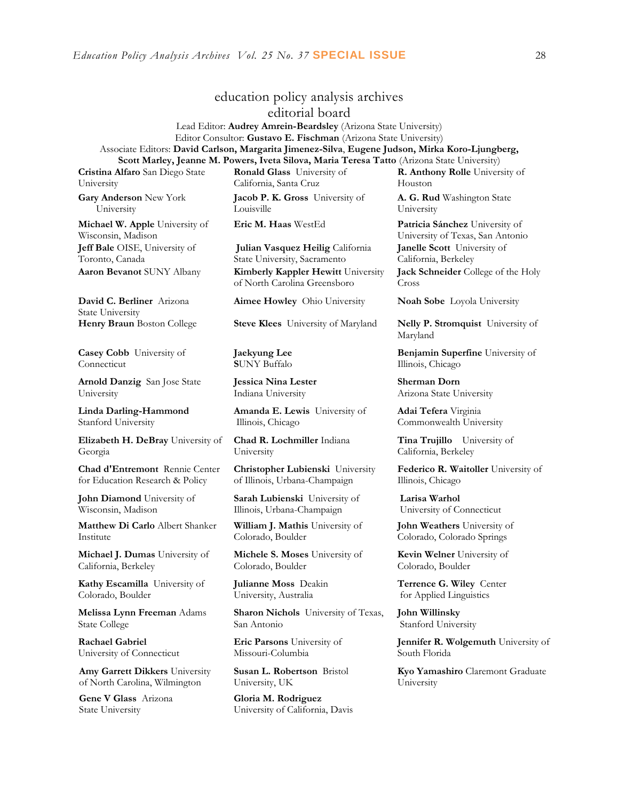## education policy analysis archives

editorial board

Lead Editor: **Audrey Amrein-Beardsley** (Arizona State University) Editor Consultor: **Gustavo E. Fischman** (Arizona State University) Associate Editors: **David Carlson, Margarita Jimenez-Silva**, **Eugene Judson, Mirka Koro-Ljungberg, Scott Marley, Jeanne M. Powers, Iveta Silova, Maria Teresa Tatto** (Arizona State University)

**Cristina Alfaro** San Diego State University

**Gary Anderson** New York University

**Michael W. Apple** University of Wisconsin, Madison **Jeff Bale** OISE, University of Toronto, Canada

**David C. Berliner** Arizona State University

**Casey Cobb** University of Connecticut

**Arnold Danzig** San Jose State University

**Linda Darling-Hammond**  Stanford University

**Elizabeth H. DeBray** University of Georgia

**Chad d'Entremont** Rennie Center for Education Research & Policy

**John Diamond** University of Wisconsin, Madison

**Matthew Di Carlo** Albert Shanker Institute

**Michael J. Dumas** University of California, Berkeley

**Kathy Escamilla** University of Colorado, Boulder

**Melissa Lynn Freeman** Adams State College

**Rachael Gabriel** University of Connecticut

**Amy Garrett Dikkers** University of North Carolina, Wilmington

**Gene V Glass** Arizona State University

**Ronald Glass** University of California, Santa Cruz

**Jacob P. K. Gross** University of Louisville

**Julian Vasquez Heilig** California State University, Sacramento **Aaron Bevanot** SUNY Albany **Kimberly Kappler Hewitt** University of North Carolina Greensboro

**Aimee Howley** Ohio University **Noah Sobe** Loyola University

**Jaekyung Lee S**UNY Buffalo

**Jessica Nina Lester** Indiana University

**Amanda E. Lewis** University of Illinois, Chicago

**Chad R. Lochmiller** Indiana University

**Christopher Lubienski** University of Illinois, Urbana-Champaign

**Sarah Lubienski** University of Illinois, Urbana-Champaign

**William J. Mathis** University of Colorado, Boulder

**Michele S. Moses** University of Colorado, Boulder

**Julianne Moss** Deakin University, Australia

**Sharon Nichols** University of Texas, San Antonio

**Eric Parsons** University of Missouri-Columbia

**Susan L. Robertson** Bristol University, UK

**Gloria M. Rodriguez** University of California, Davis **R. Anthony Rolle** University of Houston

**A. G. Rud** Washington State University

**Eric M. Haas** WestEd **Patricia Sánchez** University of University of Texas, San Antonio **Janelle Scott** University of California, Berkeley **Jack Schneider** College of the Holy Cross

**Henry Braun** Boston College **Steve Klees** University of Maryland **Nelly P. Stromquist** University of Maryland

> **Benjamin Superfine** University of Illinois, Chicago

**Sherman Dorn** Arizona State University

**Adai Tefera** Virginia Commonwealth University

**Tina Trujillo** University of California, Berkeley

**Federico R. Waitoller** University of Illinois, Chicago

**Larisa Warhol** University of Connecticut

**John Weathers** University of Colorado, Colorado Springs

**Kevin Welner** University of Colorado, Boulder

**Terrence G. Wiley** Center for Applied Linguistics

**John Willinsky**  Stanford University

**Jennifer R. Wolgemuth** University of South Florida

**Kyo Yamashiro** Claremont Graduate University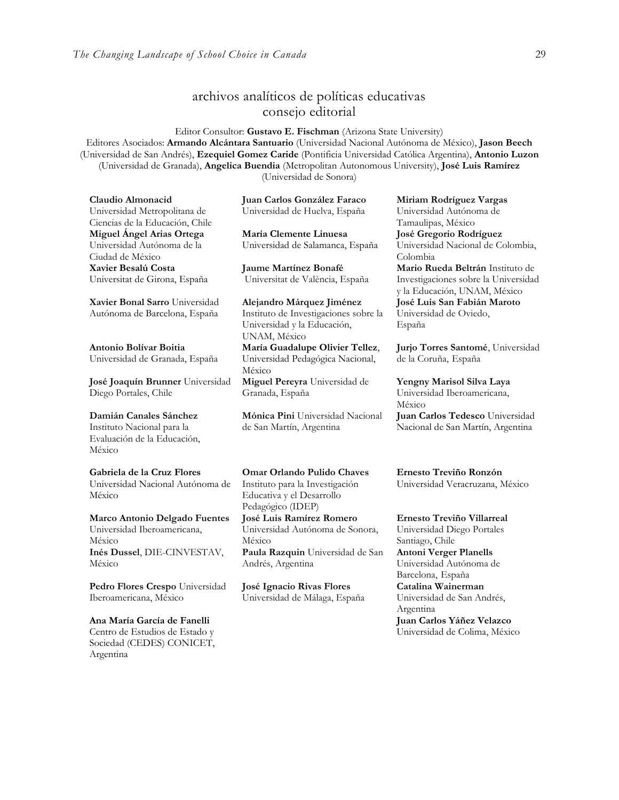## archivos analíticos de políticas educativas consejo editorial

Editor Consultor: **Gustavo E. Fischman** (Arizona State University) Editores Asociados: **Armando Alcántara Santuario** (Universidad Nacional Autónoma de México), **Jason Beech** (Universidad de San Andrés), **Ezequiel Gomez Caride** (Pontificia Universidad Católica Argentina), **Antonio Luzon** (Universidad de Granada), **Angelica Buendia** (Metropolitan Autonomous University), **José Luis Ramírez** (Universidad de Sonora)

**Claudio Almonacid** Universidad Metropolitana de Ciencias de la Educación, Chile **Miguel Ángel Arias Ortega**  Universidad Autónoma de la Ciudad de México **Xavier Besalú Costa**  Universitat de Girona, España

**[Xavier Bonal](javascript:openRTWindow() Sarro** Universidad Autónoma de Barcelona, España

**[Antonio Bolívar](javascript:openRTWindow() Boitia** Universidad de Granada, España

**[José Joaquín Brunner](javascript:openRTWindow()** Universidad Diego Portales, Chile

**[Damián Canales Sánchez](javascript:openRTWindow()** Instituto Nacional para la Evaluación de la Educación, México

**Gabriela de la Cruz Flores** Universidad Nacional Autónoma de México

**[Marco Antonio Delgado Fuentes](javascript:openRTWindow()** Universidad Iberoamericana, México **[Inés Dussel](javascript:openRTWindow()**, DIE-CINVESTAV, México

**[Pedro Flores Crespo](javascript:openRTWindow()** Universidad Iberoamericana, México

**Ana María García de Fanelli**  Centro de Estudios de Estado y Sociedad (CEDES) CONICET, Argentina

**Juan Carlos González Faraco**  Universidad de Huelva, España

**María Clemente Linuesa**  Universidad de Salamanca, España

**Jaume Martínez Bonafé** Universitat de València, España

**Alejandro Márquez Jiménez**  Instituto de Investigaciones sobre la Universidad y la Educación, UNAM, México **María Guadalupe Olivier Tellez**, Universidad Pedagógica Nacional, México **[Miguel Pereyra](javascript:openRTWindow()** Universidad de Granada, España

**[Mónica Pini](javascript:openRTWindow()** Universidad Nacional de San Martín, Argentina

Educativa y el Desarrollo Pedagógico (IDEP)

México

Andrés, Argentina

**[José Luis Ramírez](javascript:openRTWindow() Romero** Universidad Autónoma de Sonora,

**José Ignacio Rivas Flores** Universidad de Málaga, España

**[Paula Razquin](javascript:openRTWindow()** Universidad de San

**[Miriam Rodríguez Vargas](javascript:openRTWindow()** Universidad Autónoma de Tamaulipas, México **José Gregorio Rodríguez**  Universidad Nacional de Colombia, Colombia

**[Mario Rueda Beltrán](javascript:openRTWindow()** Instituto de Investigaciones sobre la Universidad y la Educación, UNAM, México **José Luis San Fabián Maroto**  Universidad de Oviedo, España

**[Jurjo Torres Santomé](javascript:openRTWindow()**, Universidad de la Coruña, España

**[Yengny Marisol Silva Laya](javascript:openRTWindow()** Universidad Iberoamericana, México **Juan Carlos Tedesco** Universidad Nacional de San Martín, Argentina

**Omar Orlando Pulido Chaves** Instituto para la Investigación **Ernesto Treviño Ronzón** Universidad Veracruzana, México

> **[Ernesto Treviño](javascript:openRTWindow() Villarreal** Universidad Diego Portales Santiago, Chile **[Antoni Verger Planells](javascript:openRTWindow()** Universidad Autónoma de Barcelona, España **[Catalina Wainerman](javascript:openRTWindow()** Universidad de San Andrés, Argentina **Juan Carlos Yáñez Velazco** Universidad de Colima, México